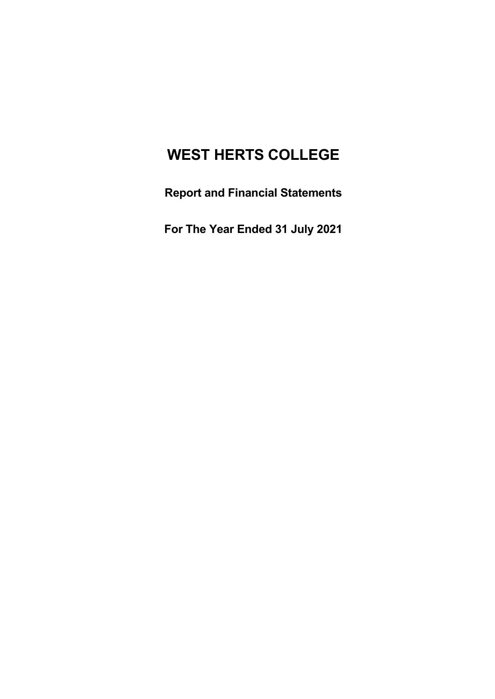# **WEST HERTS COLLEGE**

**Report and Financial Statements**

**For The Year Ended 31 July 2021**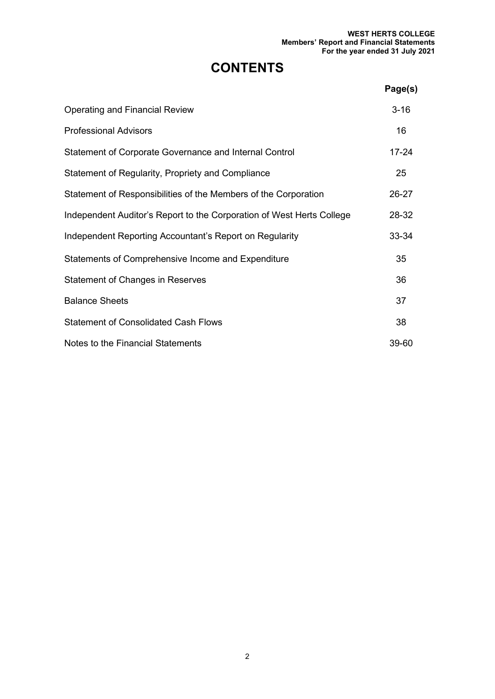# **CONTENTS**

|                                                                       | Page(s)   |
|-----------------------------------------------------------------------|-----------|
| <b>Operating and Financial Review</b>                                 | $3 - 16$  |
| <b>Professional Advisors</b>                                          | 16        |
| Statement of Corporate Governance and Internal Control                | $17 - 24$ |
| Statement of Regularity, Propriety and Compliance                     | 25        |
| Statement of Responsibilities of the Members of the Corporation       | 26-27     |
| Independent Auditor's Report to the Corporation of West Herts College | 28-32     |
| Independent Reporting Accountant's Report on Regularity               | 33-34     |
| Statements of Comprehensive Income and Expenditure                    | 35        |
| <b>Statement of Changes in Reserves</b>                               | 36        |
| <b>Balance Sheets</b>                                                 | 37        |
| <b>Statement of Consolidated Cash Flows</b>                           | 38        |
| Notes to the Financial Statements                                     | 39-60     |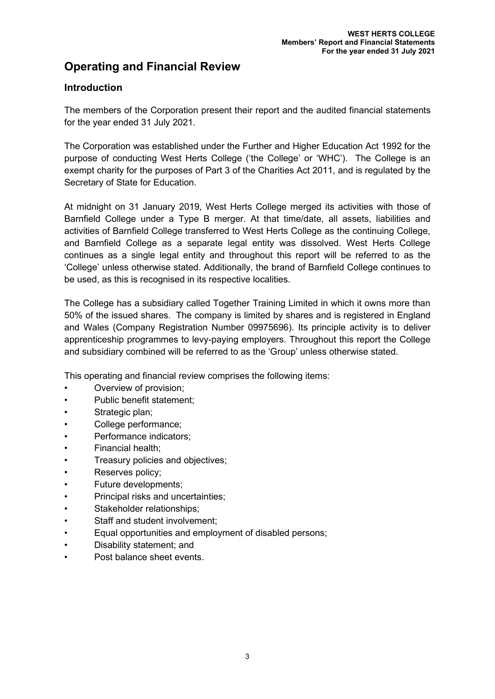# **Operating and Financial Review**

# **Introduction**

The members of the Corporation present their report and the audited financial statements for the year ended 31 July 2021.

The Corporation was established under the Further and Higher Education Act 1992 for the purpose of conducting West Herts College ('the College' or 'WHC'). The College is an exempt charity for the purposes of Part 3 of the Charities Act 2011, and is regulated by the Secretary of State for Education.

At midnight on 31 January 2019, West Herts College merged its activities with those of Barnfield College under a Type B merger. At that time/date, all assets, liabilities and activities of Barnfield College transferred to West Herts College as the continuing College, and Barnfield College as a separate legal entity was dissolved. West Herts College continues as a single legal entity and throughout this report will be referred to as the 'College' unless otherwise stated. Additionally, the brand of Barnfield College continues to be used, as this is recognised in its respective localities.

The College has a subsidiary called Together Training Limited in which it owns more than 50% of the issued shares. The company is limited by shares and is registered in England and Wales (Company Registration Number 09975696). Its principle activity is to deliver apprenticeship programmes to levy-paying employers. Throughout this report the College and subsidiary combined will be referred to as the 'Group' unless otherwise stated.

This operating and financial review comprises the following items:

- Overview of provision;
- Public benefit statement;
- Strategic plan;
- College performance;
- Performance indicators;
- Financial health;
- Treasury policies and objectives;
- Reserves policy;
- Future developments;
- Principal risks and uncertainties:
- Stakeholder relationships:
- Staff and student involvement;
- Equal opportunities and employment of disabled persons;
- Disability statement; and
- Post balance sheet events.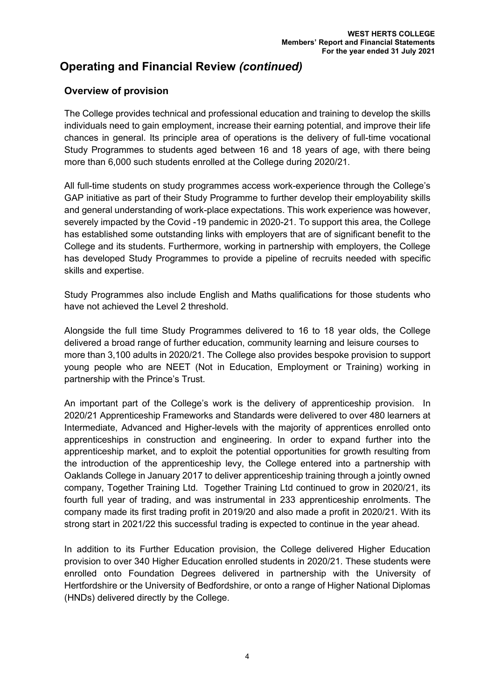# **Overview of provision**

The College provides technical and professional education and training to develop the skills individuals need to gain employment, increase their earning potential, and improve their life chances in general. Its principle area of operations is the delivery of full-time vocational Study Programmes to students aged between 16 and 18 years of age, with there being more than 6,000 such students enrolled at the College during 2020/21.

All full-time students on study programmes access work-experience through the College's GAP initiative as part of their Study Programme to further develop their employability skills and general understanding of work-place expectations. This work experience was however, severely impacted by the Covid -19 pandemic in 2020-21. To support this area, the College has established some outstanding links with employers that are of significant benefit to the College and its students. Furthermore, working in partnership with employers, the College has developed Study Programmes to provide a pipeline of recruits needed with specific skills and expertise.

Study Programmes also include English and Maths qualifications for those students who have not achieved the Level 2 threshold.

Alongside the full time Study Programmes delivered to 16 to 18 year olds, the College delivered a broad range of further education, community learning and leisure courses to more than 3,100 adults in 2020/21. The College also provides bespoke provision to support young people who are NEET (Not in Education, Employment or Training) working in partnership with the Prince's Trust.

An important part of the College's work is the delivery of apprenticeship provision. In 2020/21 Apprenticeship Frameworks and Standards were delivered to over 480 learners at Intermediate, Advanced and Higher-levels with the majority of apprentices enrolled onto apprenticeships in construction and engineering. In order to expand further into the apprenticeship market, and to exploit the potential opportunities for growth resulting from the introduction of the apprenticeship levy, the College entered into a partnership with Oaklands College in January 2017 to deliver apprenticeship training through a jointly owned company, Together Training Ltd. Together Training Ltd continued to grow in 2020/21, its fourth full year of trading, and was instrumental in 233 apprenticeship enrolments. The company made its first trading profit in 2019/20 and also made a profit in 2020/21. With its strong start in 2021/22 this successful trading is expected to continue in the year ahead.

In addition to its Further Education provision, the College delivered Higher Education provision to over 340 Higher Education enrolled students in 2020/21. These students were enrolled onto Foundation Degrees delivered in partnership with the University of Hertfordshire or the University of Bedfordshire, or onto a range of Higher National Diplomas (HNDs) delivered directly by the College.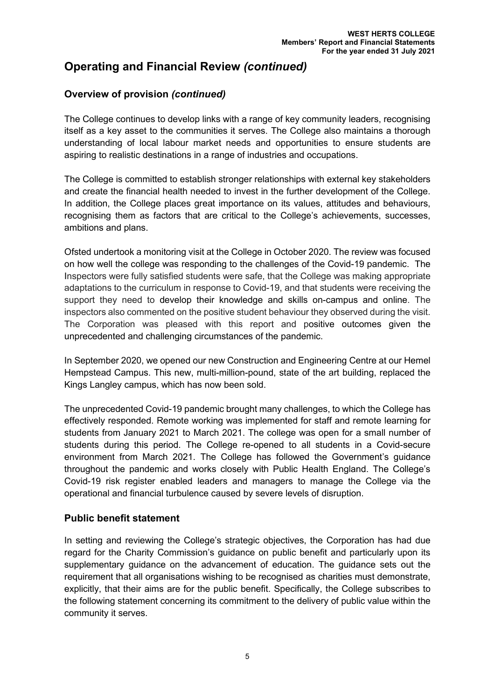# **Overview of provision** *(continued)*

The College continues to develop links with a range of key community leaders, recognising itself as a key asset to the communities it serves. The College also maintains a thorough understanding of local labour market needs and opportunities to ensure students are aspiring to realistic destinations in a range of industries and occupations.

The College is committed to establish stronger relationships with external key stakeholders and create the financial health needed to invest in the further development of the College. In addition, the College places great importance on its values, attitudes and behaviours, recognising them as factors that are critical to the College's achievements, successes, ambitions and plans.

Ofsted undertook a monitoring visit at the College in October 2020. The review was focused on how well the college was responding to the challenges of the Covid-19 pandemic. The Inspectors were fully satisfied students were safe, that the College was making appropriate adaptations to the curriculum in response to Covid-19, and that students were receiving the support they need to develop their knowledge and skills on-campus and online. The inspectors also commented on the positive student behaviour they observed during the visit. The Corporation was pleased with this report and positive outcomes given the unprecedented and challenging circumstances of the pandemic.

In September 2020, we opened our new Construction and Engineering Centre at our Hemel Hempstead Campus. This new, multi-million-pound, state of the art building, replaced the Kings Langley campus, which has now been sold.

The unprecedented Covid-19 pandemic brought many challenges, to which the College has effectively responded. Remote working was implemented for staff and remote learning for students from January 2021 to March 2021. The college was open for a small number of students during this period. The College re-opened to all students in a Covid-secure environment from March 2021. The College has followed the Government's guidance throughout the pandemic and works closely with Public Health England. The College's Covid-19 risk register enabled leaders and managers to manage the College via the operational and financial turbulence caused by severe levels of disruption.

## **Public benefit statement**

In setting and reviewing the College's strategic objectives, the Corporation has had due regard for the Charity Commission's guidance on public benefit and particularly upon its supplementary guidance on the advancement of education. The guidance sets out the requirement that all organisations wishing to be recognised as charities must demonstrate, explicitly, that their aims are for the public benefit. Specifically, the College subscribes to the following statement concerning its commitment to the delivery of public value within the community it serves.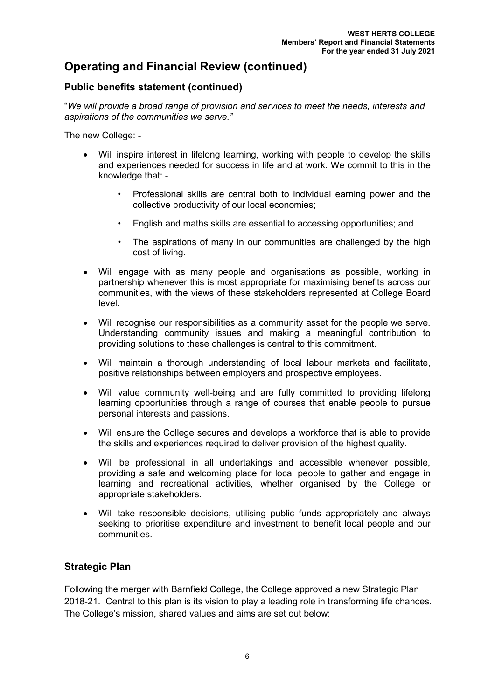# **Public benefits statement (continued)**

"*We will provide a broad range of provision and services to meet the needs, interests and aspirations of the communities we serve."*

The new College: -

- Will inspire interest in lifelong learning, working with people to develop the skills and experiences needed for success in life and at work. We commit to this in the knowledge that: -
	- Professional skills are central both to individual earning power and the collective productivity of our local economies;
	- English and maths skills are essential to accessing opportunities; and
	- The aspirations of many in our communities are challenged by the high cost of living.
- Will engage with as many people and organisations as possible, working in partnership whenever this is most appropriate for maximising benefits across our communities, with the views of these stakeholders represented at College Board level.
- Will recognise our responsibilities as a community asset for the people we serve. Understanding community issues and making a meaningful contribution to providing solutions to these challenges is central to this commitment.
- Will maintain a thorough understanding of local labour markets and facilitate, positive relationships between employers and prospective employees.
- Will value community well-being and are fully committed to providing lifelong learning opportunities through a range of courses that enable people to pursue personal interests and passions.
- Will ensure the College secures and develops a workforce that is able to provide the skills and experiences required to deliver provision of the highest quality.
- Will be professional in all undertakings and accessible whenever possible, providing a safe and welcoming place for local people to gather and engage in learning and recreational activities, whether organised by the College or appropriate stakeholders.
- Will take responsible decisions, utilising public funds appropriately and always seeking to prioritise expenditure and investment to benefit local people and our communities.

## **Strategic Plan**

Following the merger with Barnfield College, the College approved a new Strategic Plan 2018-21. Central to this plan is its vision to play a leading role in transforming life chances. The College's mission, shared values and aims are set out below: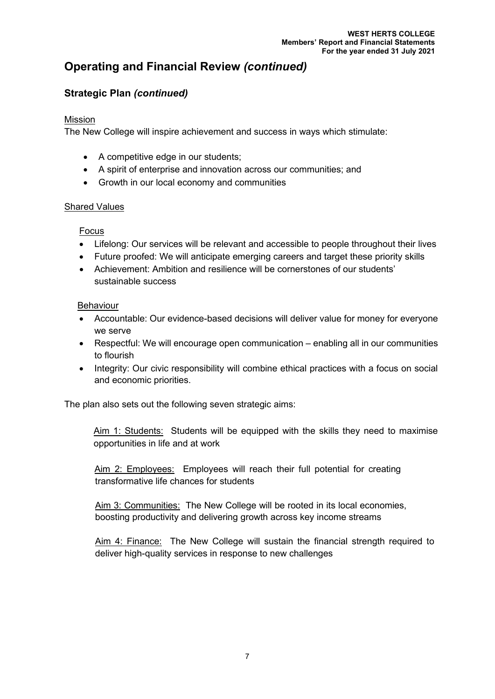# **Strategic Plan** *(continued)*

## Mission

The New College will inspire achievement and success in ways which stimulate:

- A competitive edge in our students;
- A spirit of enterprise and innovation across our communities; and
- Growth in our local economy and communities

## Shared Values

# Focus

- Lifelong: Our services will be relevant and accessible to people throughout their lives
- Future proofed: We will anticipate emerging careers and target these priority skills
- Achievement: Ambition and resilience will be cornerstones of our students' sustainable success

# Behaviour

- Accountable: Our evidence-based decisions will deliver value for money for everyone we serve
- Respectful: We will encourage open communication enabling all in our communities to flourish
- Integrity: Our civic responsibility will combine ethical practices with a focus on social and economic priorities.

The plan also sets out the following seven strategic aims:

Aim 1: Students: Students will be equipped with the skills they need to maximise opportunities in life and at work

Aim 2: Employees:Employees will reach their full potential for creating transformative life chances for students

Aim 3: Communities:The New College will be rooted in its local economies, boosting productivity and delivering growth across key income streams

Aim 4: Finance:The New College will sustain the financial strength required to deliver high-quality services in response to new challenges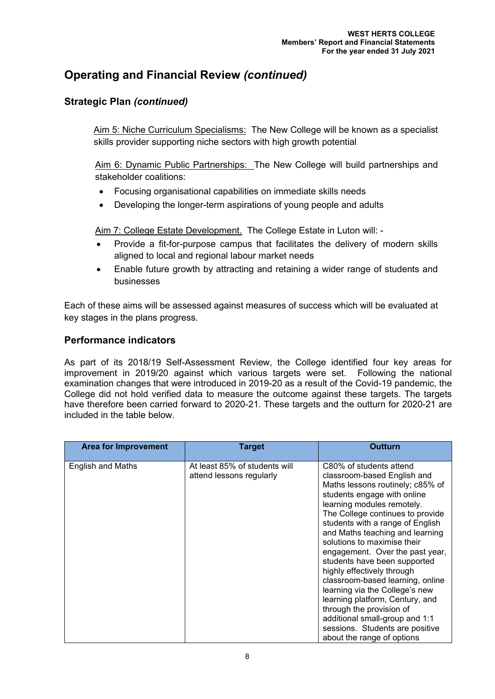# **Strategic Plan** *(continued)*

Aim 5: Niche Curriculum Specialisms: The New College will be known as a specialist skills provider supporting niche sectors with high growth potential

Aim 6: Dynamic Public Partnerships: The New College will build partnerships and stakeholder coalitions:

- Focusing organisational capabilities on immediate skills needs
- Developing the longer-term aspirations of young people and adults

Aim 7: College Estate Development. The College Estate in Luton will: -

- Provide a fit-for-purpose campus that facilitates the delivery of modern skills aligned to local and regional labour market needs
- Enable future growth by attracting and retaining a wider range of students and businesses

Each of these aims will be assessed against measures of success which will be evaluated at key stages in the plans progress.

## **Performance indicators**

As part of its 2018/19 Self-Assessment Review, the College identified four key areas for improvement in 2019/20 against which various targets were set. Following the national examination changes that were introduced in 2019-20 as a result of the Covid-19 pandemic, the College did not hold verified data to measure the outcome against these targets. The targets have therefore been carried forward to 2020-21. These targets and the outturn for 2020-21 are included in the table below.

| <b>Area for Improvement</b> | <b>Target</b>                                             | Outturn                                                                                                                                                                                                                                                                                                                                                                                                                                                                                                                                                                                                                                    |
|-----------------------------|-----------------------------------------------------------|--------------------------------------------------------------------------------------------------------------------------------------------------------------------------------------------------------------------------------------------------------------------------------------------------------------------------------------------------------------------------------------------------------------------------------------------------------------------------------------------------------------------------------------------------------------------------------------------------------------------------------------------|
| <b>English and Maths</b>    | At least 85% of students will<br>attend lessons regularly | C80% of students attend<br>classroom-based English and<br>Maths lessons routinely; c85% of<br>students engage with online<br>learning modules remotely.<br>The College continues to provide<br>students with a range of English<br>and Maths teaching and learning<br>solutions to maximise their<br>engagement. Over the past year,<br>students have been supported<br>highly effectively through<br>classroom-based learning, online<br>learning via the College's new<br>learning platform, Century, and<br>through the provision of<br>additional small-group and 1:1<br>sessions. Students are positive<br>about the range of options |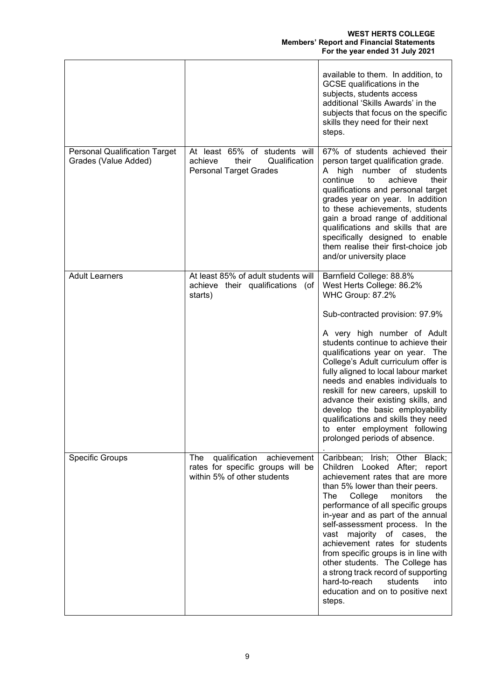|                                                              |                                                                                                         | available to them. In addition, to<br>GCSE qualifications in the<br>subjects, students access<br>additional 'Skills Awards' in the<br>subjects that focus on the specific<br>skills they need for their next<br>steps.                                                                                                                                                                                                                                                                                                                                             |
|--------------------------------------------------------------|---------------------------------------------------------------------------------------------------------|--------------------------------------------------------------------------------------------------------------------------------------------------------------------------------------------------------------------------------------------------------------------------------------------------------------------------------------------------------------------------------------------------------------------------------------------------------------------------------------------------------------------------------------------------------------------|
| <b>Personal Qualification Target</b><br>Grades (Value Added) | At least 65% of students will<br>Qualification<br>achieve<br>their<br><b>Personal Target Grades</b>     | 67% of students achieved their<br>person target qualification grade.<br>number of students<br>A<br>high<br>continue<br>achieve<br>to<br>their<br>qualifications and personal target<br>grades year on year. In addition<br>to these achievements, students<br>gain a broad range of additional<br>qualifications and skills that are<br>specifically designed to enable<br>them realise their first-choice job<br>and/or university place                                                                                                                          |
| <b>Adult Learners</b>                                        | At least 85% of adult students will<br>achieve their qualifications (of<br>starts)                      | Barnfield College: 88.8%<br>West Herts College: 86.2%<br>WHC Group: 87.2%<br>Sub-contracted provision: 97.9%<br>A very high number of Adult<br>students continue to achieve their<br>qualifications year on year. The<br>College's Adult curriculum offer is<br>fully aligned to local labour market<br>needs and enables individuals to<br>reskill for new careers, upskill to<br>advance their existing skills, and<br>develop the basic employability<br>qualifications and skills they need<br>to enter employment following<br>prolonged periods of absence.  |
| <b>Specific Groups</b>                                       | The<br>qualification<br>achievement<br>rates for specific groups will be<br>within 5% of other students | Caribbean; Irish; Other Black;<br>Children Looked After;<br>report<br>achievement rates that are more<br>than 5% lower than their peers.<br>monitors<br>the<br>The<br>College<br>performance of all specific groups<br>in-year and as part of the annual<br>self-assessment process. In the<br>vast majority of cases, the<br>achievement rates for students<br>from specific groups is in line with<br>other students. The College has<br>a strong track record of supporting<br>hard-to-reach<br>students<br>into<br>education and on to positive next<br>steps. |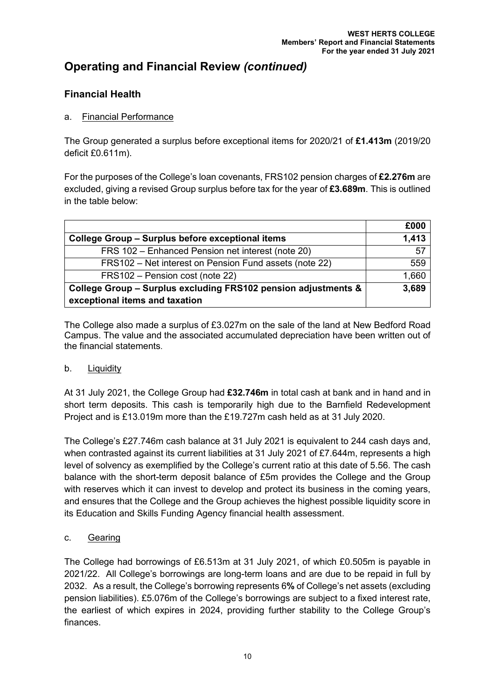# **Financial Health**

## a. Financial Performance

The Group generated a surplus before exceptional items for 2020/21 of **£1.413m** (2019/20 deficit £0.611m).

For the purposes of the College's loan covenants, FRS102 pension charges of **£2.276m** are excluded, giving a revised Group surplus before tax for the year of **£3.689m**. This is outlined in the table below:

|                                                                                                  | £000  |
|--------------------------------------------------------------------------------------------------|-------|
| College Group - Surplus before exceptional items                                                 | 1,413 |
| FRS 102 - Enhanced Pension net interest (note 20)                                                | 57    |
| FRS102 - Net interest on Pension Fund assets (note 22)                                           | 559   |
| FRS102 - Pension cost (note 22)                                                                  | 1,660 |
| College Group - Surplus excluding FRS102 pension adjustments &<br>exceptional items and taxation | 3,689 |

The College also made a surplus of £3.027m on the sale of the land at New Bedford Road Campus. The value and the associated accumulated depreciation have been written out of the financial statements.

## b. Liquidity

At 31 July 2021, the College Group had **£32.746m** in total cash at bank and in hand and in short term deposits. This cash is temporarily high due to the Barnfield Redevelopment Project and is £13.019m more than the £19.727m cash held as at 31 July 2020.

The College's £27.746m cash balance at 31 July 2021 is equivalent to 244 cash days and, when contrasted against its current liabilities at 31 July 2021 of £7.644m, represents a high level of solvency as exemplified by the College's current ratio at this date of 5.56. The cash balance with the short-term deposit balance of £5m provides the College and the Group with reserves which it can invest to develop and protect its business in the coming years, and ensures that the College and the Group achieves the highest possible liquidity score in its Education and Skills Funding Agency financial health assessment.

## c. Gearing

The College had borrowings of £6.513m at 31 July 2021, of which £0.505m is payable in 2021/22. All College's borrowings are long-term loans and are due to be repaid in full by 2032. As a result, the College's borrowing represents 6**%** of College's net assets (excluding pension liabilities). £5.076m of the College's borrowings are subject to a fixed interest rate, the earliest of which expires in 2024, providing further stability to the College Group's finances.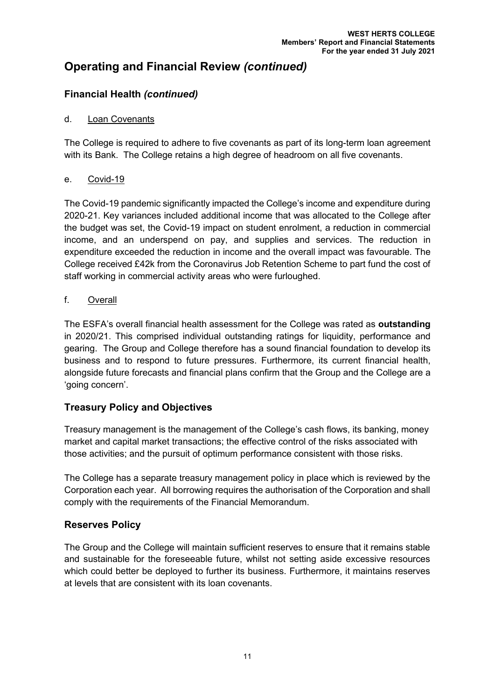# **Financial Health** *(continued)*

### d. Loan Covenants

The College is required to adhere to five covenants as part of its long-term loan agreement with its Bank. The College retains a high degree of headroom on all five covenants.

### e. Covid-19

The Covid-19 pandemic significantly impacted the College's income and expenditure during 2020-21. Key variances included additional income that was allocated to the College after the budget was set, the Covid-19 impact on student enrolment, a reduction in commercial income, and an underspend on pay, and supplies and services. The reduction in expenditure exceeded the reduction in income and the overall impact was favourable. The College received £42k from the Coronavirus Job Retention Scheme to part fund the cost of staff working in commercial activity areas who were furloughed.

### f. Overall

The ESFA's overall financial health assessment for the College was rated as **outstanding** in 2020/21. This comprised individual outstanding ratings for liquidity, performance and gearing. The Group and College therefore has a sound financial foundation to develop its business and to respond to future pressures. Furthermore, its current financial health, alongside future forecasts and financial plans confirm that the Group and the College are a 'going concern'.

## **Treasury Policy and Objectives**

Treasury management is the management of the College's cash flows, its banking, money market and capital market transactions; the effective control of the risks associated with those activities; and the pursuit of optimum performance consistent with those risks.

The College has a separate treasury management policy in place which is reviewed by the Corporation each year. All borrowing requires the authorisation of the Corporation and shall comply with the requirements of the Financial Memorandum.

# **Reserves Policy**

The Group and the College will maintain sufficient reserves to ensure that it remains stable and sustainable for the foreseeable future, whilst not setting aside excessive resources which could better be deployed to further its business. Furthermore, it maintains reserves at levels that are consistent with its loan covenants.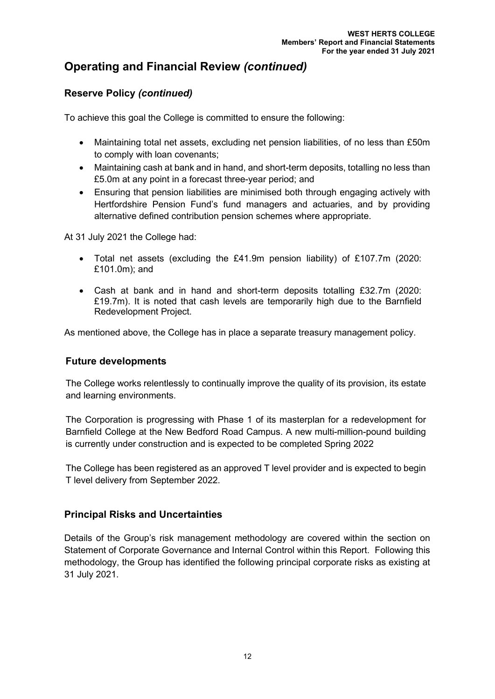# **Reserve Policy** *(continued)*

To achieve this goal the College is committed to ensure the following:

- Maintaining total net assets, excluding net pension liabilities, of no less than £50m to comply with loan covenants;
- Maintaining cash at bank and in hand, and short-term deposits, totalling no less than £5.0m at any point in a forecast three-year period; and
- Ensuring that pension liabilities are minimised both through engaging actively with Hertfordshire Pension Fund's fund managers and actuaries, and by providing alternative defined contribution pension schemes where appropriate.

At 31 July 2021 the College had:

- Total net assets (excluding the £41.9m pension liability) of £107.7m (2020: £101.0m); and
- Cash at bank and in hand and short-term deposits totalling £32.7m (2020: £19.7m). It is noted that cash levels are temporarily high due to the Barnfield Redevelopment Project.

As mentioned above, the College has in place a separate treasury management policy.

# **Future developments**

The College works relentlessly to continually improve the quality of its provision, its estate and learning environments.

The Corporation is progressing with Phase 1 of its masterplan for a redevelopment for Barnfield College at the New Bedford Road Campus. A new multi-million-pound building is currently under construction and is expected to be completed Spring 2022

The College has been registered as an approved T level provider and is expected to begin T level delivery from September 2022.

# **Principal Risks and Uncertainties**

Details of the Group's risk management methodology are covered within the section on Statement of Corporate Governance and Internal Control within this Report. Following this methodology, the Group has identified the following principal corporate risks as existing at 31 July 2021.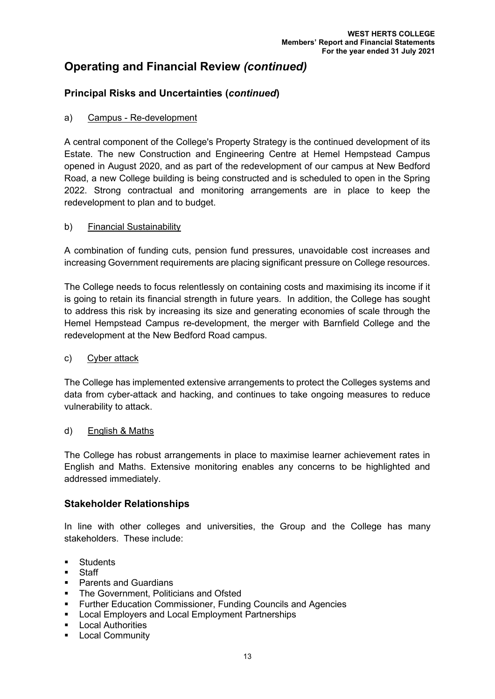# **Principal Risks and Uncertainties (***continued***)**

# a) Campus - Re-development

A central component of the College's Property Strategy is the continued development of its Estate. The new Construction and Engineering Centre at Hemel Hempstead Campus opened in August 2020, and as part of the redevelopment of our campus at New Bedford Road, a new College building is being constructed and is scheduled to open in the Spring 2022. Strong contractual and monitoring arrangements are in place to keep the redevelopment to plan and to budget.

### b) Financial Sustainability

A combination of funding cuts, pension fund pressures, unavoidable cost increases and increasing Government requirements are placing significant pressure on College resources.

The College needs to focus relentlessly on containing costs and maximising its income if it is going to retain its financial strength in future years. In addition, the College has sought to address this risk by increasing its size and generating economies of scale through the Hemel Hempstead Campus re-development, the merger with Barnfield College and the redevelopment at the New Bedford Road campus.

## c) Cyber attack

The College has implemented extensive arrangements to protect the Colleges systems and data from cyber-attack and hacking, and continues to take ongoing measures to reduce vulnerability to attack.

#### d) English & Maths

The College has robust arrangements in place to maximise learner achievement rates in English and Maths. Extensive monitoring enables any concerns to be highlighted and addressed immediately.

## **Stakeholder Relationships**

In line with other colleges and universities, the Group and the College has many stakeholders. These include:

- **Students**
- Staff
- Parents and Guardians
- The Government, Politicians and Ofsted
- Further Education Commissioner, Funding Councils and Agencies
- Local Employers and Local Employment Partnerships
- Local Authorities
- **E** Local Community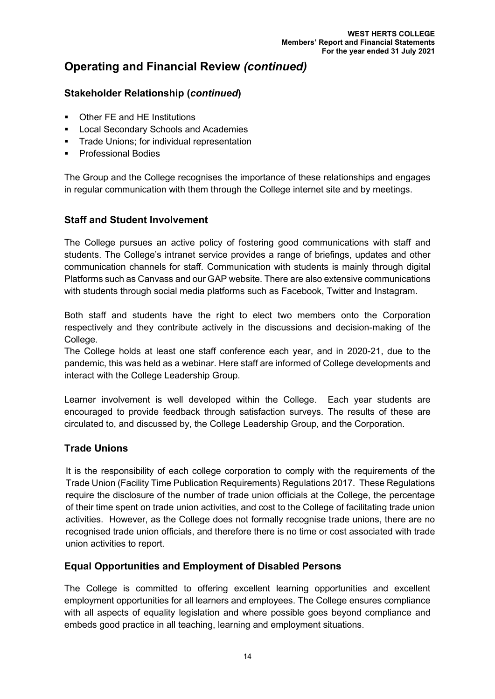# **Stakeholder Relationship (***continued***)**

- Other FE and HE Institutions
- **Local Secondary Schools and Academies**
- **Trade Unions: for individual representation**
- Professional Bodies

The Group and the College recognises the importance of these relationships and engages in regular communication with them through the College internet site and by meetings.

# **Staff and Student Involvement**

The College pursues an active policy of fostering good communications with staff and students. The College's intranet service provides a range of briefings, updates and other communication channels for staff. Communication with students is mainly through digital Platforms such as Canvass and our GAP website. There are also extensive communications with students through social media platforms such as Facebook, Twitter and Instagram.

Both staff and students have the right to elect two members onto the Corporation respectively and they contribute actively in the discussions and decision-making of the College.

The College holds at least one staff conference each year, and in 2020-21, due to the pandemic, this was held as a webinar. Here staff are informed of College developments and interact with the College Leadership Group.

Learner involvement is well developed within the College. Each year students are encouraged to provide feedback through satisfaction surveys. The results of these are circulated to, and discussed by, the College Leadership Group, and the Corporation.

## **Trade Unions**

It is the responsibility of each college corporation to comply with the requirements of the Trade Union (Facility Time Publication Requirements) Regulations 2017. These Regulations require the disclosure of the number of trade union officials at the College, the percentage of their time spent on trade union activities, and cost to the College of facilitating trade union activities. However, as the College does not formally recognise trade unions, there are no recognised trade union officials, and therefore there is no time or cost associated with trade union activities to report.

# **Equal Opportunities and Employment of Disabled Persons**

The College is committed to offering excellent learning opportunities and excellent employment opportunities for all learners and employees. The College ensures compliance with all aspects of equality legislation and where possible goes beyond compliance and embeds good practice in all teaching, learning and employment situations.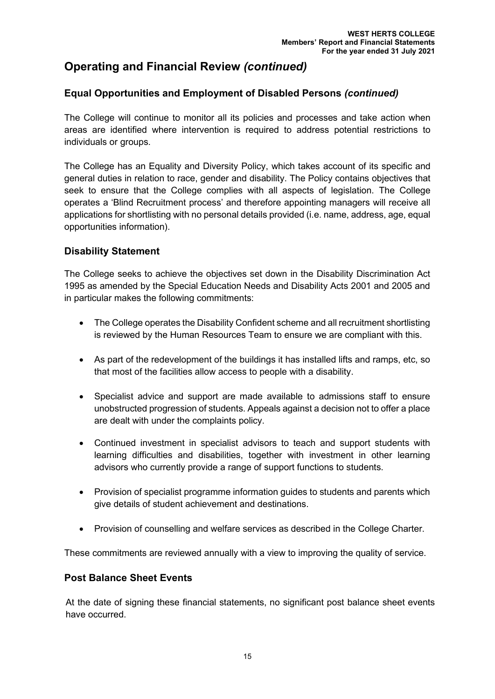# **Equal Opportunities and Employment of Disabled Persons** *(continued)*

The College will continue to monitor all its policies and processes and take action when areas are identified where intervention is required to address potential restrictions to individuals or groups.

The College has an Equality and Diversity Policy, which takes account of its specific and general duties in relation to race, gender and disability. The Policy contains objectives that seek to ensure that the College complies with all aspects of legislation. The College operates a 'Blind Recruitment process' and therefore appointing managers will receive all applications for shortlisting with no personal details provided (i.e. name, address, age, equal opportunities information).

# **Disability Statement**

The College seeks to achieve the objectives set down in the Disability Discrimination Act 1995 as amended by the Special Education Needs and Disability Acts 2001 and 2005 and in particular makes the following commitments:

- The College operates the Disability Confident scheme and all recruitment shortlisting is reviewed by the Human Resources Team to ensure we are compliant with this.
- As part of the redevelopment of the buildings it has installed lifts and ramps, etc, so that most of the facilities allow access to people with a disability.
- Specialist advice and support are made available to admissions staff to ensure unobstructed progression of students. Appeals against a decision not to offer a place are dealt with under the complaints policy.
- Continued investment in specialist advisors to teach and support students with learning difficulties and disabilities, together with investment in other learning advisors who currently provide a range of support functions to students.
- Provision of specialist programme information guides to students and parents which give details of student achievement and destinations.
- Provision of counselling and welfare services as described in the College Charter.

These commitments are reviewed annually with a view to improving the quality of service.

## **Post Balance Sheet Events**

At the date of signing these financial statements, no significant post balance sheet events have occurred.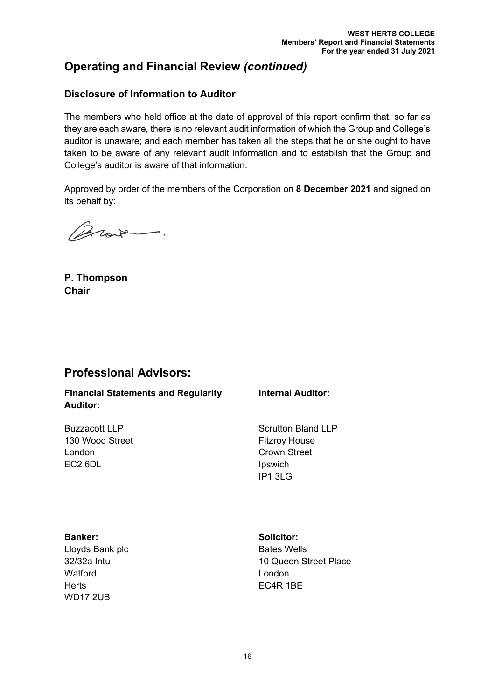# **Disclosure of Information to Auditor**

The members who held office at the date of approval of this report confirm that, so far as they are each aware, there is no relevant audit information of which the Group and College's auditor is unaware; and each member has taken all the steps that he or she ought to have taken to be aware of any relevant audit information and to establish that the Group and College's auditor is aware of that information.

Approved by order of the members of the Corporation on **8 December 2021** and signed on its behalf by:

Broke.

**P. Thompson Chair**

# **Professional Advisors:**

**Financial Statements and Regularity Auditor:**

130 Wood Street **Fitzroy House** London **Crown Street** EC2 6DL and in the state of the state of the state of the state of the state of the state of the state of the state of the state of the state of the state of the state of the state of the state of the state of the state of

Buzzacott LLP Scrutton Bland LLP IP1 3LG

**Internal Auditor:**

**Banker: Solicitor:** Lloyds Bank plc 32/32a Intu **Watford Herts WD17 2UB** 

Bates Wells 10 Queen Street Place London EC4R 1BE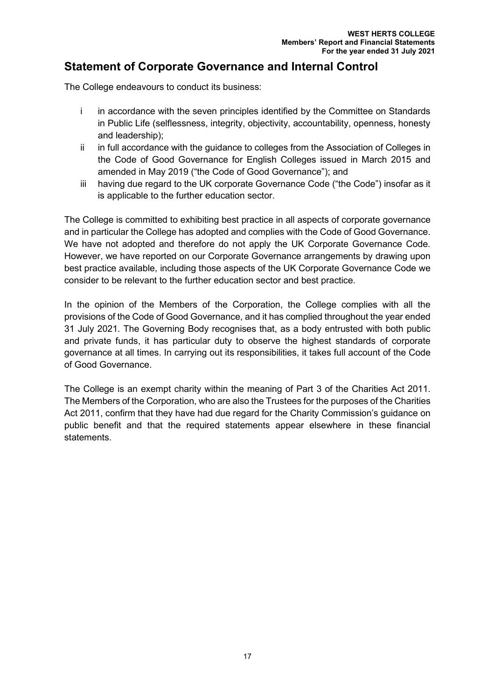# **Statement of Corporate Governance and Internal Control**

The College endeavours to conduct its business:

- i in accordance with the seven principles identified by the Committee on Standards in Public Life (selflessness, integrity, objectivity, accountability, openness, honesty and leadership);
- ii in full accordance with the guidance to colleges from the Association of Colleges in the Code of Good Governance for English Colleges issued in March 2015 and amended in May 2019 ("the Code of Good Governance"); and
- iii having due regard to the UK corporate Governance Code ("the Code") insofar as it is applicable to the further education sector.

The College is committed to exhibiting best practice in all aspects of corporate governance and in particular the College has adopted and complies with the Code of Good Governance. We have not adopted and therefore do not apply the UK Corporate Governance Code. However, we have reported on our Corporate Governance arrangements by drawing upon best practice available, including those aspects of the UK Corporate Governance Code we consider to be relevant to the further education sector and best practice.

In the opinion of the Members of the Corporation, the College complies with all the provisions of the Code of Good Governance, and it has complied throughout the year ended 31 July 2021. The Governing Body recognises that, as a body entrusted with both public and private funds, it has particular duty to observe the highest standards of corporate governance at all times. In carrying out its responsibilities, it takes full account of the Code of Good Governance.

The College is an exempt charity within the meaning of Part 3 of the Charities Act 2011. The Members of the Corporation, who are also the Trustees for the purposes of the Charities Act 2011, confirm that they have had due regard for the Charity Commission's guidance on public benefit and that the required statements appear elsewhere in these financial statements.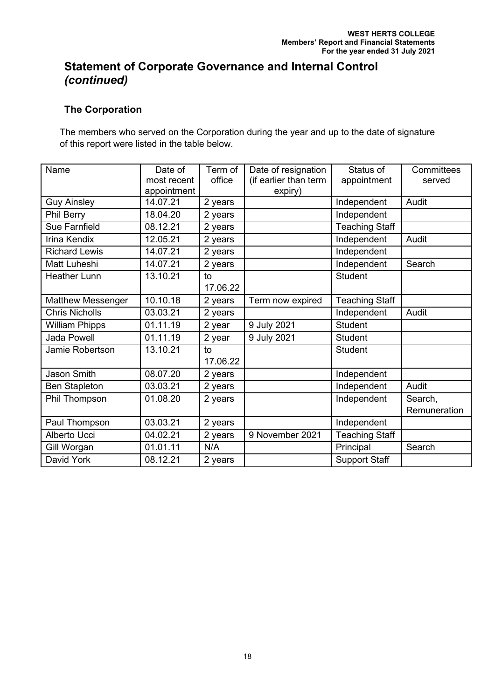# **The Corporation**

The members who served on the Corporation during the year and up to the date of signature of this report were listed in the table below.

| Name                     | Date of     | Term of  | Date of resignation   | Status of             | Committees   |
|--------------------------|-------------|----------|-----------------------|-----------------------|--------------|
|                          | most recent | office   | (if earlier than term | appointment           | served       |
|                          | appointment |          | expiry)               |                       |              |
| <b>Guy Ainsley</b>       | 14.07.21    | 2 years  |                       | Independent           | Audit        |
| <b>Phil Berry</b>        | 18.04.20    | 2 years  |                       | Independent           |              |
| Sue Farnfield            | 08.12.21    | 2 years  |                       | Teaching Staff        |              |
| Irina Kendix             | 12.05.21    | 2 years  |                       | Independent           | Audit        |
| <b>Richard Lewis</b>     | 14.07.21    | 2 years  |                       | Independent           |              |
| Matt Luheshi             | 14.07.21    | 2 years  |                       | Independent           | Search       |
| <b>Heather Lunn</b>      | 13.10.21    | to       |                       | <b>Student</b>        |              |
|                          |             | 17.06.22 |                       |                       |              |
| <b>Matthew Messenger</b> | 10.10.18    | 2 years  | Term now expired      | <b>Teaching Staff</b> |              |
| <b>Chris Nicholls</b>    | 03.03.21    | 2 years  |                       | Independent           | Audit        |
| <b>William Phipps</b>    | 01.11.19    | 2 year   | 9 July 2021           | <b>Student</b>        |              |
| <b>Jada Powell</b>       | 01.11.19    | 2 year   | 9 July 2021           | <b>Student</b>        |              |
| Jamie Robertson          | 13.10.21    | to       |                       | <b>Student</b>        |              |
|                          |             | 17.06.22 |                       |                       |              |
| <b>Jason Smith</b>       | 08.07.20    | 2 years  |                       | Independent           |              |
| <b>Ben Stapleton</b>     | 03.03.21    | 2 years  |                       | Independent           | Audit        |
| Phil Thompson            | 01.08.20    | 2 years  |                       | Independent           | Search,      |
|                          |             |          |                       |                       | Remuneration |
| Paul Thompson            | 03.03.21    | 2 years  |                       | Independent           |              |
| Alberto Ucci             | 04.02.21    | 2 years  | 9 November 2021       | <b>Teaching Staff</b> |              |
| Gill Worgan              | 01.01.11    | N/A      |                       | Principal             | Search       |
| David York               | 08.12.21    | 2 years  |                       | <b>Support Staff</b>  |              |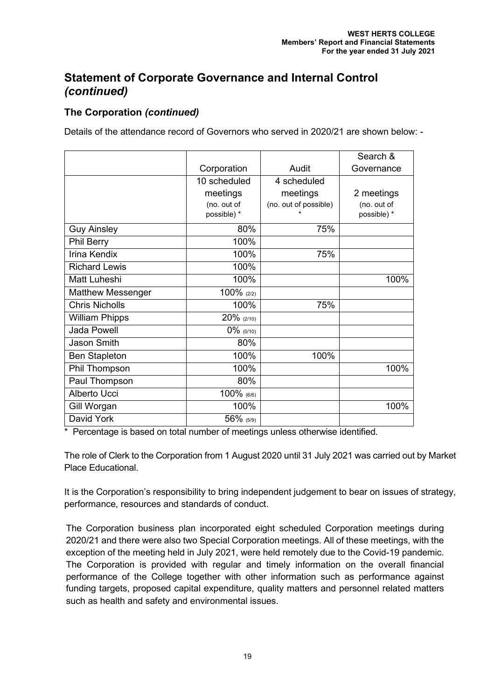# **The Corporation** *(continued)*

Details of the attendance record of Governors who served in 2020/21 are shown below: -

|                          |               |                       | Search &    |
|--------------------------|---------------|-----------------------|-------------|
|                          | Corporation   | Audit                 | Governance  |
|                          | 10 scheduled  | 4 scheduled           |             |
|                          | meetings      | meetings              | 2 meetings  |
|                          | (no. out of   | (no. out of possible) | (no. out of |
|                          | possible) *   |                       | possible) * |
| <b>Guy Ainsley</b>       | 80%           | 75%                   |             |
| <b>Phil Berry</b>        | 100%          |                       |             |
| Irina Kendix             | 100%          | 75%                   |             |
| <b>Richard Lewis</b>     | 100%          |                       |             |
| Matt Luheshi             | 100%          |                       | 100%        |
| <b>Matthew Messenger</b> | $100\%$ (2/2) |                       |             |
| <b>Chris Nicholls</b>    | 100%          | 75%                   |             |
| <b>William Phipps</b>    | 20% (2/10)    |                       |             |
| <b>Jada Powell</b>       | 0% (0/10)     |                       |             |
| <b>Jason Smith</b>       | 80%           |                       |             |
| <b>Ben Stapleton</b>     | 100%          | 100%                  |             |
| Phil Thompson            | 100%          |                       | 100%        |
| Paul Thompson            | 80%           |                       |             |
| Alberto Ucci             | 100% (6/6)    |                       |             |
| Gill Worgan              | 100%          |                       | 100%        |
| David York               | 56% (5/9)     |                       |             |

\* Percentage is based on total number of meetings unless otherwise identified.

The role of Clerk to the Corporation from 1 August 2020 until 31 July 2021 was carried out by Market Place Educational.

It is the Corporation's responsibility to bring independent judgement to bear on issues of strategy, performance, resources and standards of conduct.

The Corporation business plan incorporated eight scheduled Corporation meetings during 2020/21 and there were also two Special Corporation meetings. All of these meetings, with the exception of the meeting held in July 2021, were held remotely due to the Covid-19 pandemic. The Corporation is provided with regular and timely information on the overall financial performance of the College together with other information such as performance against funding targets, proposed capital expenditure, quality matters and personnel related matters such as health and safety and environmental issues.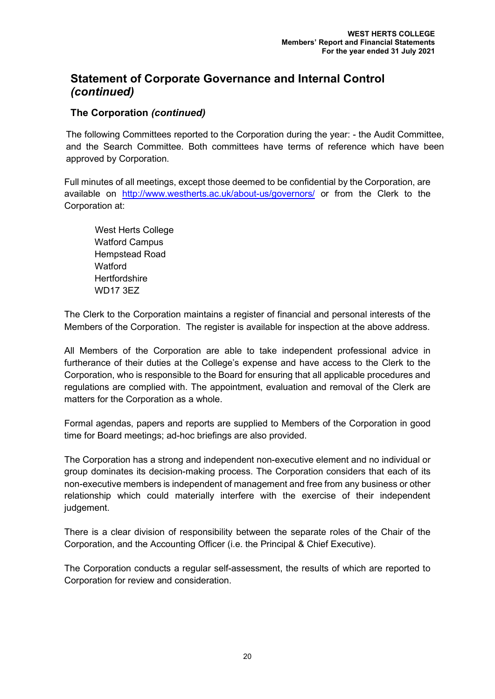# **The Corporation** *(continued)*

The following Committees reported to the Corporation during the year: - the Audit Committee, and the Search Committee. Both committees have terms of reference which have been approved by Corporation.

Full minutes of all meetings, except those deemed to be confidential by the Corporation, are available on <http://www.westherts.ac.uk/about-us/governors/> or from the Clerk to the Corporation at:

West Herts College Watford Campus Hempstead Road **Watford Hertfordshire** WD17 3EZ

The Clerk to the Corporation maintains a register of financial and personal interests of the Members of the Corporation. The register is available for inspection at the above address.

All Members of the Corporation are able to take independent professional advice in furtherance of their duties at the College's expense and have access to the Clerk to the Corporation, who is responsible to the Board for ensuring that all applicable procedures and regulations are complied with. The appointment, evaluation and removal of the Clerk are matters for the Corporation as a whole.

Formal agendas, papers and reports are supplied to Members of the Corporation in good time for Board meetings; ad-hoc briefings are also provided.

The Corporation has a strong and independent non-executive element and no individual or group dominates its decision-making process. The Corporation considers that each of its non-executive members is independent of management and free from any business or other relationship which could materially interfere with the exercise of their independent judgement.

There is a clear division of responsibility between the separate roles of the Chair of the Corporation, and the Accounting Officer (i.e. the Principal & Chief Executive).

The Corporation conducts a regular self-assessment, the results of which are reported to Corporation for review and consideration.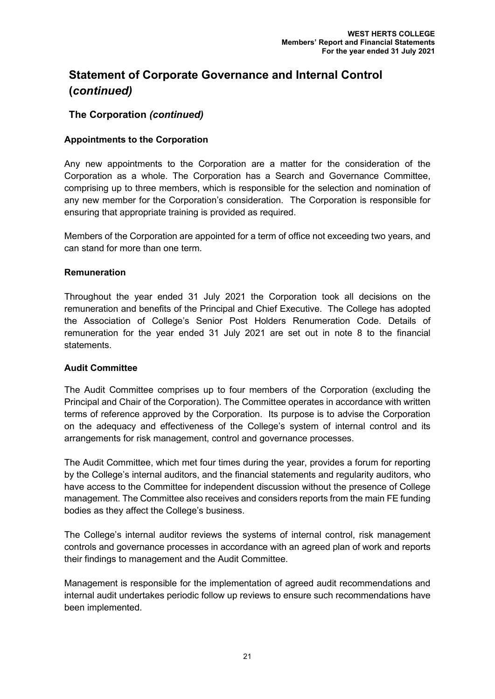# **The Corporation** *(continued)*

### **Appointments to the Corporation**

Any new appointments to the Corporation are a matter for the consideration of the Corporation as a whole. The Corporation has a Search and Governance Committee, comprising up to three members, which is responsible for the selection and nomination of any new member for the Corporation's consideration. The Corporation is responsible for ensuring that appropriate training is provided as required.

Members of the Corporation are appointed for a term of office not exceeding two years, and can stand for more than one term.

#### **Remuneration**

Throughout the year ended 31 July 2021 the Corporation took all decisions on the remuneration and benefits of the Principal and Chief Executive. The College has adopted the Association of College's Senior Post Holders Renumeration Code. Details of remuneration for the year ended 31 July 2021 are set out in note 8 to the financial statements.

#### **Audit Committee**

The Audit Committee comprises up to four members of the Corporation (excluding the Principal and Chair of the Corporation). The Committee operates in accordance with written terms of reference approved by the Corporation. Its purpose is to advise the Corporation on the adequacy and effectiveness of the College's system of internal control and its arrangements for risk management, control and governance processes.

The Audit Committee, which met four times during the year, provides a forum for reporting by the College's internal auditors, and the financial statements and regularity auditors, who have access to the Committee for independent discussion without the presence of College management. The Committee also receives and considers reports from the main FE funding bodies as they affect the College's business.

The College's internal auditor reviews the systems of internal control, risk management controls and governance processes in accordance with an agreed plan of work and reports their findings to management and the Audit Committee.

Management is responsible for the implementation of agreed audit recommendations and internal audit undertakes periodic follow up reviews to ensure such recommendations have been implemented.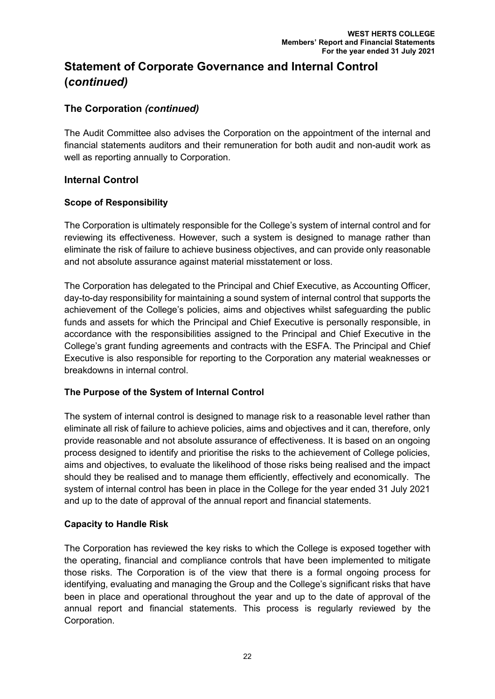# **The Corporation** *(continued)*

The Audit Committee also advises the Corporation on the appointment of the internal and financial statements auditors and their remuneration for both audit and non-audit work as well as reporting annually to Corporation.

# **Internal Control**

## **Scope of Responsibility**

The Corporation is ultimately responsible for the College's system of internal control and for reviewing its effectiveness. However, such a system is designed to manage rather than eliminate the risk of failure to achieve business objectives, and can provide only reasonable and not absolute assurance against material misstatement or loss.

The Corporation has delegated to the Principal and Chief Executive, as Accounting Officer, day-to-day responsibility for maintaining a sound system of internal control that supports the achievement of the College's policies, aims and objectives whilst safeguarding the public funds and assets for which the Principal and Chief Executive is personally responsible, in accordance with the responsibilities assigned to the Principal and Chief Executive in the College's grant funding agreements and contracts with the ESFA. The Principal and Chief Executive is also responsible for reporting to the Corporation any material weaknesses or breakdowns in internal control.

## **The Purpose of the System of Internal Control**

The system of internal control is designed to manage risk to a reasonable level rather than eliminate all risk of failure to achieve policies, aims and objectives and it can, therefore, only provide reasonable and not absolute assurance of effectiveness. It is based on an ongoing process designed to identify and prioritise the risks to the achievement of College policies, aims and objectives, to evaluate the likelihood of those risks being realised and the impact should they be realised and to manage them efficiently, effectively and economically. The system of internal control has been in place in the College for the year ended 31 July 2021 and up to the date of approval of the annual report and financial statements.

## **Capacity to Handle Risk**

The Corporation has reviewed the key risks to which the College is exposed together with the operating, financial and compliance controls that have been implemented to mitigate those risks. The Corporation is of the view that there is a formal ongoing process for identifying, evaluating and managing the Group and the College's significant risks that have been in place and operational throughout the year and up to the date of approval of the annual report and financial statements. This process is regularly reviewed by the Corporation.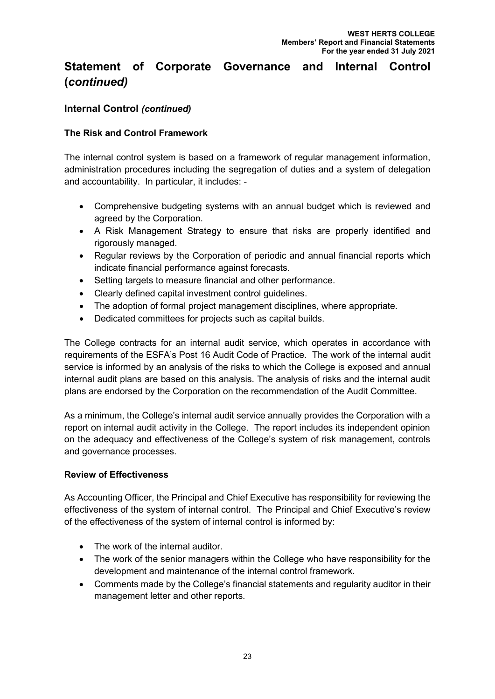# **Internal Control** *(continued)*

# **The Risk and Control Framework**

The internal control system is based on a framework of regular management information, administration procedures including the segregation of duties and a system of delegation and accountability. In particular, it includes: -

- Comprehensive budgeting systems with an annual budget which is reviewed and agreed by the Corporation.
- A Risk Management Strategy to ensure that risks are properly identified and rigorously managed.
- Regular reviews by the Corporation of periodic and annual financial reports which indicate financial performance against forecasts.
- Setting targets to measure financial and other performance.
- Clearly defined capital investment control guidelines.
- The adoption of formal project management disciplines, where appropriate.
- Dedicated committees for projects such as capital builds.

The College contracts for an internal audit service, which operates in accordance with requirements of the ESFA's Post 16 Audit Code of Practice. The work of the internal audit service is informed by an analysis of the risks to which the College is exposed and annual internal audit plans are based on this analysis. The analysis of risks and the internal audit plans are endorsed by the Corporation on the recommendation of the Audit Committee.

As a minimum, the College's internal audit service annually provides the Corporation with a report on internal audit activity in the College. The report includes its independent opinion on the adequacy and effectiveness of the College's system of risk management, controls and governance processes.

## **Review of Effectiveness**

As Accounting Officer, the Principal and Chief Executive has responsibility for reviewing the effectiveness of the system of internal control. The Principal and Chief Executive's review of the effectiveness of the system of internal control is informed by:

- The work of the internal auditor.
- The work of the senior managers within the College who have responsibility for the development and maintenance of the internal control framework.
- Comments made by the College's financial statements and regularity auditor in their management letter and other reports.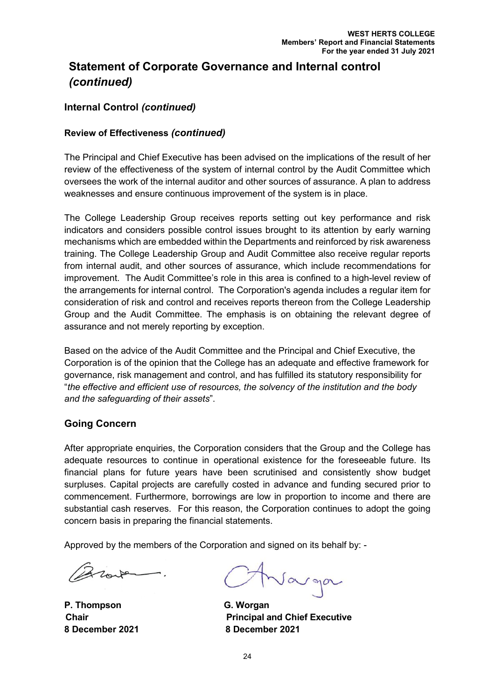# **Internal Control** *(continued)*

### **Review of Effectiveness** *(continued)*

The Principal and Chief Executive has been advised on the implications of the result of her review of the effectiveness of the system of internal control by the Audit Committee which oversees the work of the internal auditor and other sources of assurance. A plan to address weaknesses and ensure continuous improvement of the system is in place.

The College Leadership Group receives reports setting out key performance and risk indicators and considers possible control issues brought to its attention by early warning mechanisms which are embedded within the Departments and reinforced by risk awareness training. The College Leadership Group and Audit Committee also receive regular reports from internal audit, and other sources of assurance, which include recommendations for improvement. The Audit Committee's role in this area is confined to a high-level review of the arrangements for internal control. The Corporation's agenda includes a regular item for consideration of risk and control and receives reports thereon from the College Leadership Group and the Audit Committee. The emphasis is on obtaining the relevant degree of assurance and not merely reporting by exception.

Based on the advice of the Audit Committee and the Principal and Chief Executive, the Corporation is of the opinion that the College has an adequate and effective framework for governance, risk management and control, and has fulfilled its statutory responsibility for "*the effective and efficient use of resources, the solvency of the institution and the body and the safeguarding of their assets*".

#### **Going Concern**

After appropriate enquiries, the Corporation considers that the Group and the College has adequate resources to continue in operational existence for the foreseeable future. Its financial plans for future years have been scrutinised and consistently show budget surpluses. Capital projects are carefully costed in advance and funding secured prior to commencement. Furthermore, borrowings are low in proportion to income and there are substantial cash reserves. For this reason, the Corporation continues to adopt the going concern basis in preparing the financial statements.

Approved by the members of the Corporation and signed on its behalf by: -

Broute

**P. Thompson G. Worgan 8 December 2021 8 December 2021**

Varga

**Chair Principal and Chief Executive**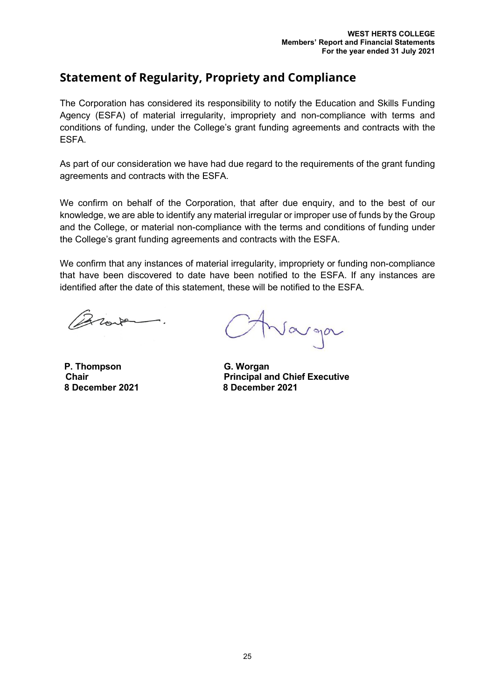# **Statement of Regularity, Propriety and Compliance**

The Corporation has considered its responsibility to notify the Education and Skills Funding Agency (ESFA) of material irregularity, impropriety and non-compliance with terms and conditions of funding, under the College's grant funding agreements and contracts with the ESFA.

As part of our consideration we have had due regard to the requirements of the grant funding agreements and contracts with the ESFA.

We confirm on behalf of the Corporation, that after due enquiry, and to the best of our knowledge, we are able to identify any material irregular or improper use of funds by the Group and the College, or material non-compliance with the terms and conditions of funding under the College's grant funding agreements and contracts with the ESFA.

We confirm that any instances of material irregularity, impropriety or funding non-compliance that have been discovered to date have been notified to the ESFA. If any instances are identified after the date of this statement, these will be notified to the ESFA.

Brook

**P. Thompson G. Worgan 8 December 2021 8 December 2021**

Varga

**Chair Principal and Chief Executive**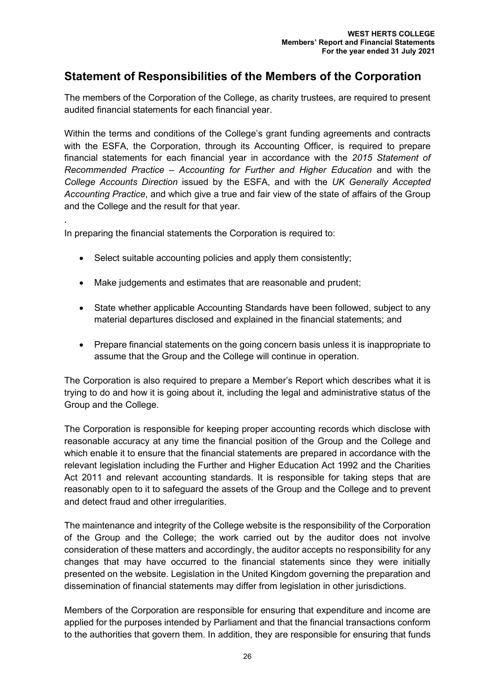# **Statement of Responsibilities of the Members of the Corporation**

The members of the Corporation of the College, as charity trustees, are required to present audited financial statements for each financial year.

Within the terms and conditions of the College's grant funding agreements and contracts with the ESFA, the Corporation, through its Accounting Officer, is required to prepare financial statements for each financial year in accordance with the *2015 Statement of Recommended Practice – Accounting for Further and Higher Education* and with the *College Accounts Direction* issued by the ESFA, and with the *UK Generally Accepted Accounting Practice*, and which give a true and fair view of the state of affairs of the Group and the College and the result for that year.

In preparing the financial statements the Corporation is required to:

.

- Select suitable accounting policies and apply them consistently;
- Make judgements and estimates that are reasonable and prudent;
- State whether applicable Accounting Standards have been followed, subject to any material departures disclosed and explained in the financial statements; and
- Prepare financial statements on the going concern basis unless it is inappropriate to assume that the Group and the College will continue in operation.

The Corporation is also required to prepare a Member's Report which describes what it is trying to do and how it is going about it, including the legal and administrative status of the Group and the College.

The Corporation is responsible for keeping proper accounting records which disclose with reasonable accuracy at any time the financial position of the Group and the College and which enable it to ensure that the financial statements are prepared in accordance with the relevant legislation including the Further and Higher Education Act 1992 and the Charities Act 2011 and relevant accounting standards. It is responsible for taking steps that are reasonably open to it to safeguard the assets of the Group and the College and to prevent and detect fraud and other irregularities.

The maintenance and integrity of the College website is the responsibility of the Corporation of the Group and the College; the work carried out by the auditor does not involve consideration of these matters and accordingly, the auditor accepts no responsibility for any changes that may have occurred to the financial statements since they were initially presented on the website. Legislation in the United Kingdom governing the preparation and dissemination of financial statements may differ from legislation in other jurisdictions.

Members of the Corporation are responsible for ensuring that expenditure and income are applied for the purposes intended by Parliament and that the financial transactions conform to the authorities that govern them. In addition, they are responsible for ensuring that funds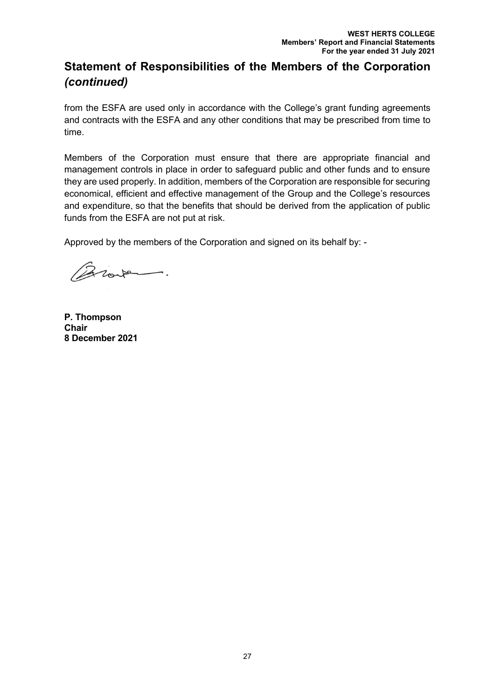# **Statement of Responsibilities of the Members of the Corporation**  *(continued)*

from the ESFA are used only in accordance with the College's grant funding agreements and contracts with the ESFA and any other conditions that may be prescribed from time to time.

Members of the Corporation must ensure that there are appropriate financial and management controls in place in order to safeguard public and other funds and to ensure they are used properly. In addition, members of the Corporation are responsible for securing economical, efficient and effective management of the Group and the College's resources and expenditure, so that the benefits that should be derived from the application of public funds from the ESFA are not put at risk.

Approved by the members of the Corporation and signed on its behalf by: -

Brown.

**P. Thompson Chair 8 December 2021**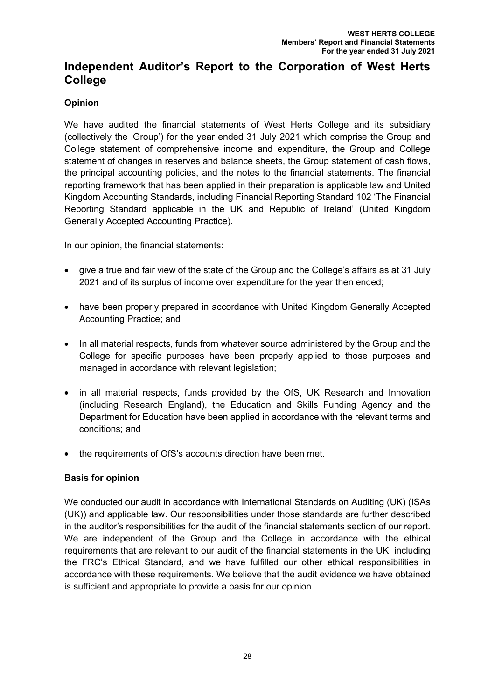# **Opinion**

We have audited the financial statements of West Herts College and its subsidiary (collectively the 'Group') for the year ended 31 July 2021 which comprise the Group and College statement of comprehensive income and expenditure, the Group and College statement of changes in reserves and balance sheets, the Group statement of cash flows, the principal accounting policies, and the notes to the financial statements. The financial reporting framework that has been applied in their preparation is applicable law and United Kingdom Accounting Standards, including Financial Reporting Standard 102 'The Financial Reporting Standard applicable in the UK and Republic of Ireland' (United Kingdom Generally Accepted Accounting Practice).

In our opinion, the financial statements:

- give a true and fair view of the state of the Group and the College's affairs as at 31 July 2021 and of its surplus of income over expenditure for the year then ended;
- have been properly prepared in accordance with United Kingdom Generally Accepted Accounting Practice; and
- In all material respects, funds from whatever source administered by the Group and the College for specific purposes have been properly applied to those purposes and managed in accordance with relevant legislation;
- in all material respects, funds provided by the OfS, UK Research and Innovation (including Research England), the Education and Skills Funding Agency and the Department for Education have been applied in accordance with the relevant terms and conditions; and
- the requirements of OfS's accounts direction have been met.

## **Basis for opinion**

We conducted our audit in accordance with International Standards on Auditing (UK) (ISAs (UK)) and applicable law. Our responsibilities under those standards are further described in the auditor's responsibilities for the audit of the financial statements section of our report. We are independent of the Group and the College in accordance with the ethical requirements that are relevant to our audit of the financial statements in the UK, including the FRC's Ethical Standard, and we have fulfilled our other ethical responsibilities in accordance with these requirements. We believe that the audit evidence we have obtained is sufficient and appropriate to provide a basis for our opinion.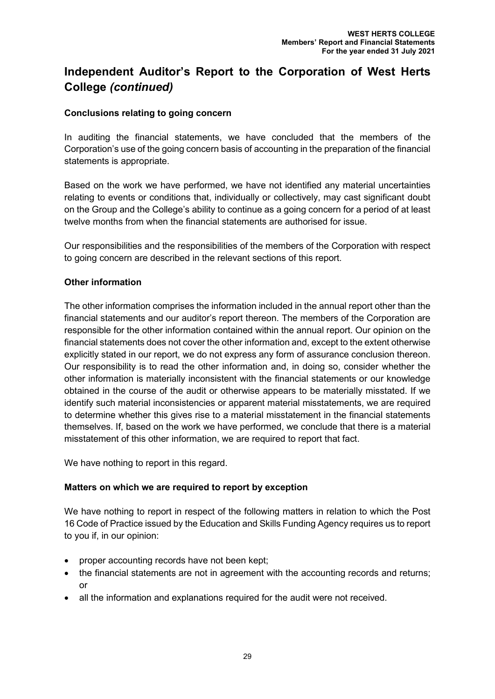## **Conclusions relating to going concern**

In auditing the financial statements, we have concluded that the members of the Corporation's use of the going concern basis of accounting in the preparation of the financial statements is appropriate.

Based on the work we have performed, we have not identified any material uncertainties relating to events or conditions that, individually or collectively, may cast significant doubt on the Group and the College's ability to continue as a going concern for a period of at least twelve months from when the financial statements are authorised for issue.

Our responsibilities and the responsibilities of the members of the Corporation with respect to going concern are described in the relevant sections of this report.

### **Other information**

The other information comprises the information included in the annual report other than the financial statements and our auditor's report thereon. The members of the Corporation are responsible for the other information contained within the annual report. Our opinion on the financial statements does not cover the other information and, except to the extent otherwise explicitly stated in our report, we do not express any form of assurance conclusion thereon. Our responsibility is to read the other information and, in doing so, consider whether the other information is materially inconsistent with the financial statements or our knowledge obtained in the course of the audit or otherwise appears to be materially misstated. If we identify such material inconsistencies or apparent material misstatements, we are required to determine whether this gives rise to a material misstatement in the financial statements themselves. If, based on the work we have performed, we conclude that there is a material misstatement of this other information, we are required to report that fact.

We have nothing to report in this regard.

## **Matters on which we are required to report by exception**

We have nothing to report in respect of the following matters in relation to which the Post 16 Code of Practice issued by the Education and Skills Funding Agency requires us to report to you if, in our opinion:

- proper accounting records have not been kept;
- the financial statements are not in agreement with the accounting records and returns; or
- all the information and explanations required for the audit were not received.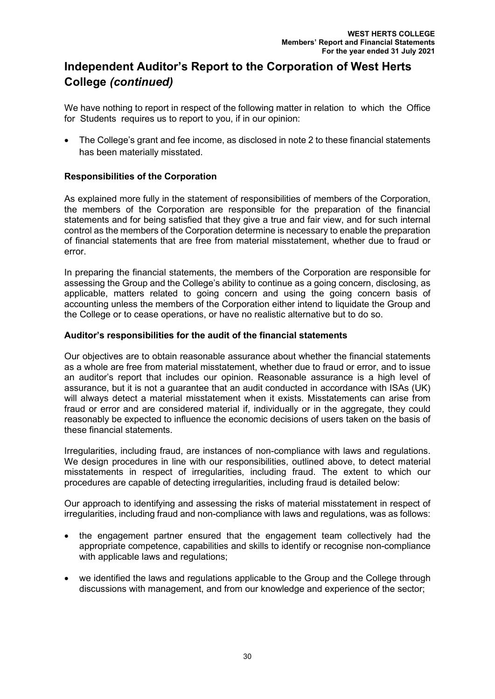We have nothing to report in respect of the following matter in relation to which the Office for Students requires us to report to you, if in our opinion:

• The College's grant and fee income, as disclosed in note 2 to these financial statements has been materially misstated.

### **Responsibilities of the Corporation**

As explained more fully in the statement of responsibilities of members of the Corporation, the members of the Corporation are responsible for the preparation of the financial statements and for being satisfied that they give a true and fair view, and for such internal control as the members of the Corporation determine is necessary to enable the preparation of financial statements that are free from material misstatement, whether due to fraud or error.

In preparing the financial statements, the members of the Corporation are responsible for assessing the Group and the College's ability to continue as a going concern, disclosing, as applicable, matters related to going concern and using the going concern basis of accounting unless the members of the Corporation either intend to liquidate the Group and the College or to cease operations, or have no realistic alternative but to do so.

#### **Auditor's responsibilities for the audit of the financial statements**

Our objectives are to obtain reasonable assurance about whether the financial statements as a whole are free from material misstatement, whether due to fraud or error, and to issue an auditor's report that includes our opinion. Reasonable assurance is a high level of assurance, but it is not a guarantee that an audit conducted in accordance with ISAs (UK) will always detect a material misstatement when it exists. Misstatements can arise from fraud or error and are considered material if, individually or in the aggregate, they could reasonably be expected to influence the economic decisions of users taken on the basis of these financial statements.

Irregularities, including fraud, are instances of non-compliance with laws and regulations. We design procedures in line with our responsibilities, outlined above, to detect material misstatements in respect of irregularities, including fraud. The extent to which our procedures are capable of detecting irregularities, including fraud is detailed below:

Our approach to identifying and assessing the risks of material misstatement in respect of irregularities, including fraud and non-compliance with laws and regulations, was as follows:

- the engagement partner ensured that the engagement team collectively had the appropriate competence, capabilities and skills to identify or recognise non-compliance with applicable laws and regulations;
- we identified the laws and regulations applicable to the Group and the College through discussions with management, and from our knowledge and experience of the sector;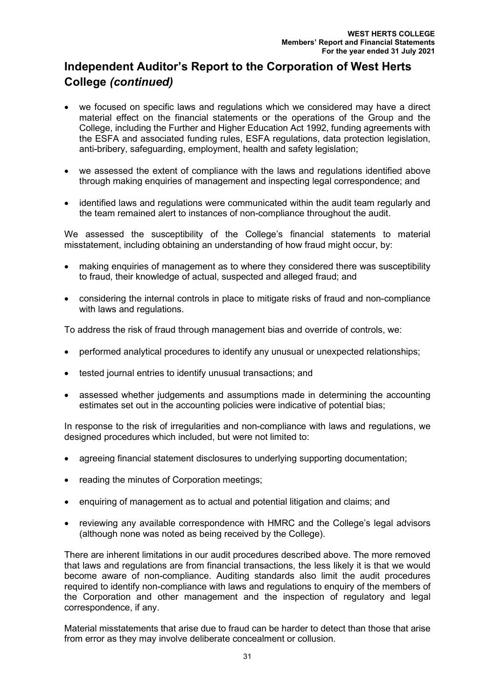- we focused on specific laws and regulations which we considered may have a direct material effect on the financial statements or the operations of the Group and the College, including the Further and Higher Education Act 1992, funding agreements with the ESFA and associated funding rules, ESFA regulations, data protection legislation, anti-bribery, safeguarding, employment, health and safety legislation;
- we assessed the extent of compliance with the laws and regulations identified above through making enquiries of management and inspecting legal correspondence; and
- identified laws and regulations were communicated within the audit team regularly and the team remained alert to instances of non-compliance throughout the audit.

We assessed the susceptibility of the College's financial statements to material misstatement, including obtaining an understanding of how fraud might occur, by:

- making enquiries of management as to where they considered there was susceptibility to fraud, their knowledge of actual, suspected and alleged fraud; and
- considering the internal controls in place to mitigate risks of fraud and non-compliance with laws and regulations.

To address the risk of fraud through management bias and override of controls, we:

- performed analytical procedures to identify any unusual or unexpected relationships;
- tested journal entries to identify unusual transactions; and
- assessed whether judgements and assumptions made in determining the accounting estimates set out in the accounting policies were indicative of potential bias;

In response to the risk of irregularities and non-compliance with laws and regulations, we designed procedures which included, but were not limited to:

- agreeing financial statement disclosures to underlying supporting documentation;
- reading the minutes of Corporation meetings:
- enquiring of management as to actual and potential litigation and claims; and
- reviewing any available correspondence with HMRC and the College's legal advisors (although none was noted as being received by the College).

There are inherent limitations in our audit procedures described above. The more removed that laws and regulations are from financial transactions, the less likely it is that we would become aware of non-compliance. Auditing standards also limit the audit procedures required to identify non-compliance with laws and regulations to enquiry of the members of the Corporation and other management and the inspection of regulatory and legal correspondence, if any.

Material misstatements that arise due to fraud can be harder to detect than those that arise from error as they may involve deliberate concealment or collusion.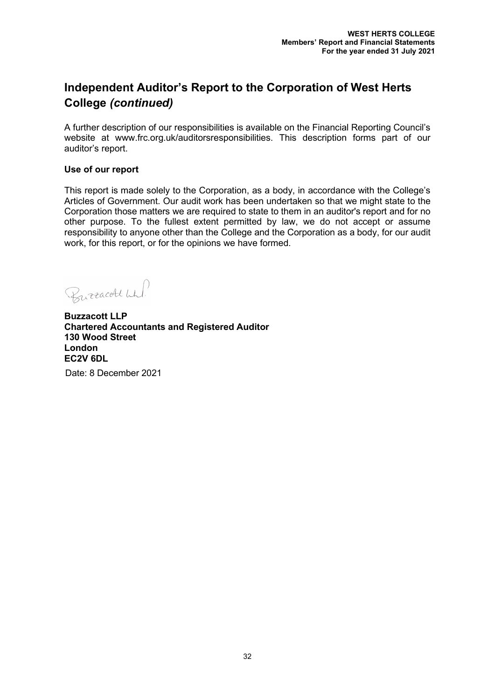A further description of our responsibilities is available on the Financial Reporting Council's website at www.frc.org.uk/auditorsresponsibilities. This description forms part of our auditor's report.

#### **Use of our report**

This report is made solely to the Corporation, as a body, in accordance with the College's Articles of Government. Our audit work has been undertaken so that we might state to the Corporation those matters we are required to state to them in an auditor's report and for no other purpose. To the fullest extent permitted by law, we do not accept or assume responsibility to anyone other than the College and the Corporation as a body, for our audit work, for this report, or for the opinions we have formed.

Burracott Wh!

**Buzzacott LLP Chartered Accountants and Registered Auditor 130 Wood Street London EC2V 6DL**

Date: 8 December 2021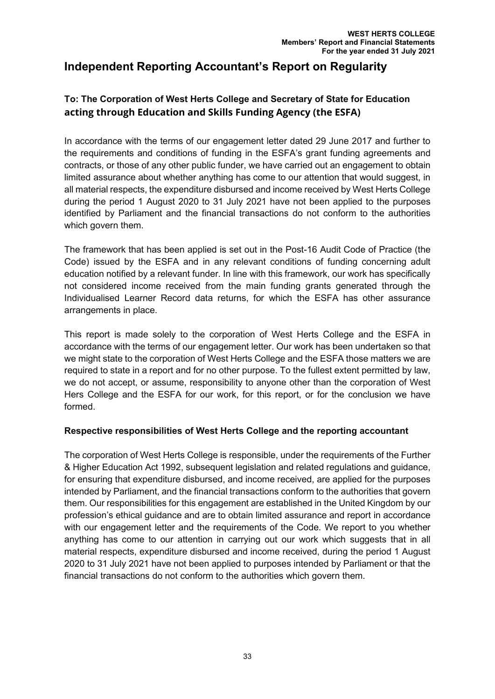# **Independent Reporting Accountant's Report on Regularity**

# **To: The Corporation of West Herts College and Secretary of State for Education acting through Education and Skills Funding Agency (the ESFA)**

In accordance with the terms of our engagement letter dated 29 June 2017 and further to the requirements and conditions of funding in the ESFA's grant funding agreements and contracts, or those of any other public funder, we have carried out an engagement to obtain limited assurance about whether anything has come to our attention that would suggest, in all material respects, the expenditure disbursed and income received by West Herts College during the period 1 August 2020 to 31 July 2021 have not been applied to the purposes identified by Parliament and the financial transactions do not conform to the authorities which govern them.

The framework that has been applied is set out in the Post-16 Audit Code of Practice (the Code) issued by the ESFA and in any relevant conditions of funding concerning adult education notified by a relevant funder. In line with this framework, our work has specifically not considered income received from the main funding grants generated through the Individualised Learner Record data returns, for which the ESFA has other assurance arrangements in place.

This report is made solely to the corporation of West Herts College and the ESFA in accordance with the terms of our engagement letter. Our work has been undertaken so that we might state to the corporation of West Herts College and the ESFA those matters we are required to state in a report and for no other purpose. To the fullest extent permitted by law, we do not accept, or assume, responsibility to anyone other than the corporation of West Hers College and the ESFA for our work, for this report, or for the conclusion we have formed.

## **Respective responsibilities of West Herts College and the reporting accountant**

The corporation of West Herts College is responsible, under the requirements of the Further & Higher Education Act 1992, subsequent legislation and related regulations and guidance, for ensuring that expenditure disbursed, and income received, are applied for the purposes intended by Parliament, and the financial transactions conform to the authorities that govern them. Our responsibilities for this engagement are established in the United Kingdom by our profession's ethical guidance and are to obtain limited assurance and report in accordance with our engagement letter and the requirements of the Code. We report to you whether anything has come to our attention in carrying out our work which suggests that in all material respects, expenditure disbursed and income received, during the period 1 August 2020 to 31 July 2021 have not been applied to purposes intended by Parliament or that the financial transactions do not conform to the authorities which govern them.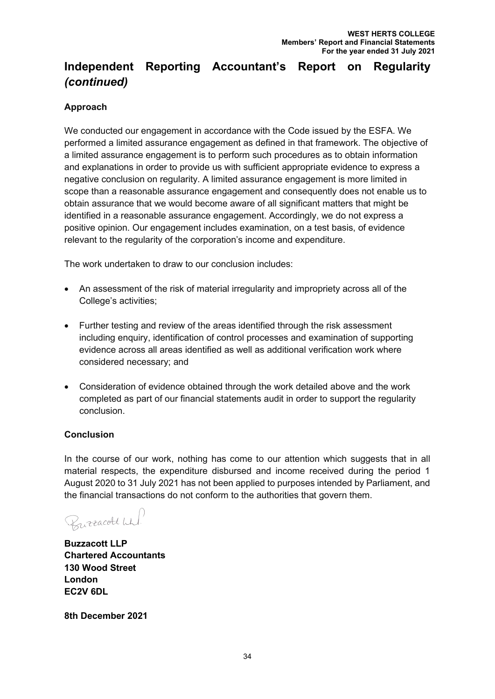# **Independent Reporting Accountant's Report on Regularity**  *(continued)*

# **Approach**

We conducted our engagement in accordance with the Code issued by the ESFA. We performed a limited assurance engagement as defined in that framework. The objective of a limited assurance engagement is to perform such procedures as to obtain information and explanations in order to provide us with sufficient appropriate evidence to express a negative conclusion on regularity. A limited assurance engagement is more limited in scope than a reasonable assurance engagement and consequently does not enable us to obtain assurance that we would become aware of all significant matters that might be identified in a reasonable assurance engagement. Accordingly, we do not express a positive opinion. Our engagement includes examination, on a test basis, of evidence relevant to the regularity of the corporation's income and expenditure.

The work undertaken to draw to our conclusion includes:

- An assessment of the risk of material irregularity and impropriety across all of the College's activities;
- Further testing and review of the areas identified through the risk assessment including enquiry, identification of control processes and examination of supporting evidence across all areas identified as well as additional verification work where considered necessary; and
- Consideration of evidence obtained through the work detailed above and the work completed as part of our financial statements audit in order to support the regularity conclusion.

## **Conclusion**

In the course of our work, nothing has come to our attention which suggests that in all material respects, the expenditure disbursed and income received during the period 1 August 2020 to 31 July 2021 has not been applied to purposes intended by Parliament, and the financial transactions do not conform to the authorities that govern them.

Burracolt Wh

**Buzzacott LLP Chartered Accountants 130 Wood Street London EC2V 6DL**

**8th December 2021**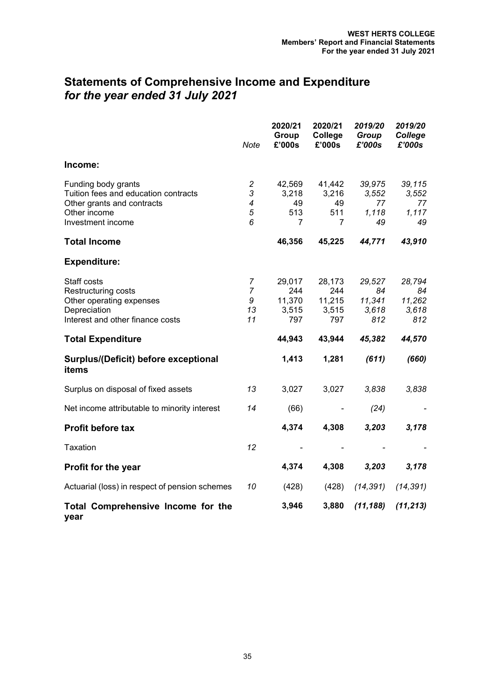# **Statements of Comprehensive Income and Expenditure** *for the year ended 31 July 2021*

|                                                                                                                                | Note                                 | 2020/21<br>Group<br>£'000s              | 2020/21<br>College<br>£'000s            | 2019/20<br>Group<br>£'000s             | 2019/20<br>College<br>£'000s           |
|--------------------------------------------------------------------------------------------------------------------------------|--------------------------------------|-----------------------------------------|-----------------------------------------|----------------------------------------|----------------------------------------|
| Income:                                                                                                                        |                                      |                                         |                                         |                                        |                                        |
| Funding body grants<br>Tuition fees and education contracts<br>Other grants and contracts<br>Other income<br>Investment income | $\overline{c}$<br>3<br>4<br>5<br>6   | 42,569<br>3,218<br>49<br>513<br>7       | 41,442<br>3,216<br>49<br>511<br>7       | 39,975<br>3,552<br>77<br>1,118<br>49   | 39,115<br>3,552<br>77<br>1,117<br>49   |
| <b>Total Income</b>                                                                                                            |                                      | 46,356                                  | 45,225                                  | 44,771                                 | 43,910                                 |
| <b>Expenditure:</b>                                                                                                            |                                      |                                         |                                         |                                        |                                        |
| Staff costs<br>Restructuring costs<br>Other operating expenses<br>Depreciation<br>Interest and other finance costs             | 7<br>$\overline{7}$<br>9<br>13<br>11 | 29,017<br>244<br>11,370<br>3,515<br>797 | 28,173<br>244<br>11,215<br>3,515<br>797 | 29,527<br>84<br>11,341<br>3,618<br>812 | 28,794<br>84<br>11,262<br>3,618<br>812 |
| <b>Total Expenditure</b>                                                                                                       |                                      | 44,943                                  | 43,944                                  | 45,382                                 | 44,570                                 |
| Surplus/(Deficit) before exceptional<br>items                                                                                  |                                      | 1,413                                   | 1,281                                   | (611)                                  | (660)                                  |
| Surplus on disposal of fixed assets                                                                                            | 13                                   | 3,027                                   | 3,027                                   | 3,838                                  | 3,838                                  |
| Net income attributable to minority interest                                                                                   | 14                                   | (66)                                    |                                         | (24)                                   |                                        |
| <b>Profit before tax</b>                                                                                                       |                                      | 4,374                                   | 4,308                                   | 3,203                                  | 3,178                                  |
| Taxation                                                                                                                       | 12                                   |                                         |                                         |                                        |                                        |
| Profit for the year                                                                                                            |                                      | 4,374                                   | 4,308                                   | 3,203                                  | 3,178                                  |
| Actuarial (loss) in respect of pension schemes                                                                                 | 10                                   | (428)                                   | (428)                                   | (14, 391)                              | (14, 391)                              |
| Total Comprehensive Income for the<br>year                                                                                     |                                      | 3,946                                   | 3,880                                   | (11, 188)                              | (11, 213)                              |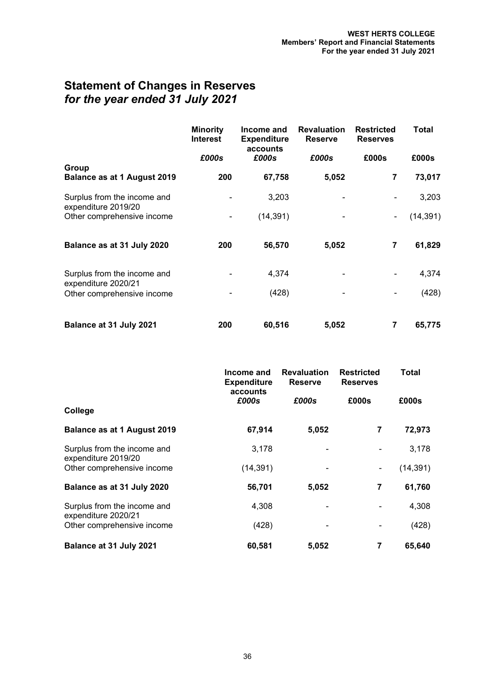# **Statement of Changes in Reserves** *for the year ended 31 July 2021*

|                                                    | <b>Minority</b><br><b>Interest</b> | Income and<br><b>Expenditure</b><br>accounts | <b>Revaluation</b><br><b>Reserve</b> | <b>Restricted</b><br><b>Reserves</b> | Total     |
|----------------------------------------------------|------------------------------------|----------------------------------------------|--------------------------------------|--------------------------------------|-----------|
|                                                    | £000s                              | £000s                                        | £000s                                | £000s                                | £000s     |
| Group<br><b>Balance as at 1 August 2019</b>        | 200                                | 67,758                                       | 5,052                                | $\overline{\mathbf{7}}$              | 73,017    |
| Surplus from the income and<br>expenditure 2019/20 |                                    | 3,203                                        |                                      |                                      | 3,203     |
| Other comprehensive income                         |                                    | (14, 391)                                    |                                      | $\qquad \qquad \blacksquare$         | (14, 391) |
| Balance as at 31 July 2020                         | 200                                | 56,570                                       | 5,052                                | $\overline{\mathbf{7}}$              | 61,829    |
| Surplus from the income and<br>expenditure 2020/21 |                                    | 4,374                                        |                                      |                                      | 4,374     |
| Other comprehensive income                         |                                    | (428)                                        |                                      |                                      | (428)     |
| Balance at 31 July 2021                            | 200                                | 60,516                                       | 5,052                                | 7                                    | 65,775    |

|                                                    | Income and<br><b>Expenditure</b> | <b>Revaluation</b><br><b>Reserve</b> | <b>Restricted</b><br><b>Reserves</b> | Total     |
|----------------------------------------------------|----------------------------------|--------------------------------------|--------------------------------------|-----------|
|                                                    | £000s                            | accounts<br>£000s                    |                                      | £000s     |
| College                                            |                                  |                                      |                                      |           |
| <b>Balance as at 1 August 2019</b>                 | 67,914                           | 5,052                                | 7                                    | 72,973    |
| Surplus from the income and<br>expenditure 2019/20 | 3,178                            |                                      |                                      | 3,178     |
| Other comprehensive income                         | (14, 391)                        |                                      | $\blacksquare$                       | (14, 391) |
| Balance as at 31 July 2020                         | 56,701                           | 5,052                                | 7                                    | 61,760    |
| Surplus from the income and                        | 4,308                            |                                      |                                      | 4,308     |
| expenditure 2020/21<br>Other comprehensive income  | (428)                            |                                      |                                      | (428)     |
| Balance at 31 July 2021                            | 60,581                           | 5,052                                | 7                                    | 65,640    |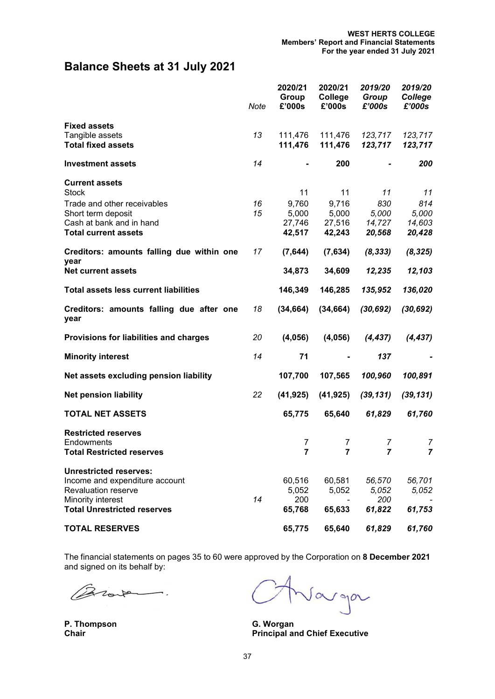# **Balance Sheets at 31 July 2021**

|                                                                                                              | <b>Note</b> | 2020/21<br>Group<br>£'000s         | 2020/21<br>College<br>£'000s       | 2019/20<br>Group<br>£'000s       | 2019/20<br>College<br>£'000s     |
|--------------------------------------------------------------------------------------------------------------|-------------|------------------------------------|------------------------------------|----------------------------------|----------------------------------|
| <b>Fixed assets</b><br>Tangible assets<br><b>Total fixed assets</b>                                          | 13          | 111,476<br>111,476                 | 111,476<br>111,476                 | 123,717<br>123,717               | 123,717<br>123,717               |
| <b>Investment assets</b>                                                                                     | 14          |                                    | 200                                |                                  | 200                              |
| <b>Current assets</b><br><b>Stock</b>                                                                        |             | 11                                 | 11                                 | 11                               | 11                               |
| Trade and other receivables<br>Short term deposit<br>Cash at bank and in hand<br><b>Total current assets</b> | 16<br>15    | 9,760<br>5,000<br>27,746<br>42,517 | 9,716<br>5,000<br>27,516<br>42,243 | 830<br>5,000<br>14,727<br>20,568 | 814<br>5,000<br>14,603<br>20,428 |
| Creditors: amounts falling due within one                                                                    | 17          | (7,644)                            | (7,634)                            | (8, 333)                         | (8, 325)                         |
| year<br><b>Net current assets</b>                                                                            |             | 34,873                             | 34,609                             | 12,235                           | 12,103                           |
| <b>Total assets less current liabilities</b>                                                                 |             | 146,349                            | 146,285                            | 135,952                          | 136,020                          |
| Creditors: amounts falling due after one<br>year                                                             | 18          | (34, 664)                          | (34, 664)                          | (30, 692)                        | (30, 692)                        |
| Provisions for liabilities and charges                                                                       | 20          | (4,056)                            | (4,056)                            | (4, 437)                         | (4, 437)                         |
| <b>Minority interest</b>                                                                                     | 14          | 71                                 |                                    | 137                              |                                  |
| Net assets excluding pension liability                                                                       |             | 107,700                            | 107,565                            | 100,960                          | 100,891                          |
| <b>Net pension liability</b>                                                                                 | 22          | (41, 925)                          | (41, 925)                          | (39, 131)                        | (39, 131)                        |
| <b>TOTAL NET ASSETS</b>                                                                                      |             | 65,775                             | 65,640                             | 61,829                           | 61,760                           |
| <b>Restricted reserves</b><br>Endowments<br><b>Total Restricted reserves</b>                                 |             | 7<br>7                             | 7<br>7                             | 7<br>7                           | 7<br>7                           |
| <b>Unrestricted reserves:</b><br>Income and expenditure account<br>Revaluation reserve                       | 14          | 60,516<br>5,052<br>200             | 60,581<br>5,052                    | 56,570<br>5,052<br>200           | 56,701<br>5,052                  |
| Minority interest<br><b>Total Unrestricted reserves</b>                                                      |             | 65,768                             | 65,633                             | 61,822                           | 61,753                           |
| <b>TOTAL RESERVES</b>                                                                                        |             | 65,775                             | 65,640                             | 61,829                           | 61,760                           |

The financial statements on pages 35 to 60 were approved by the Corporation on **8 December 2021** and signed on its behalf by:

 $\overline{\phantom{a}}$ . Z

**P. Thompson Chair**

Jarga

**G. Worgan Principal and Chief Executive**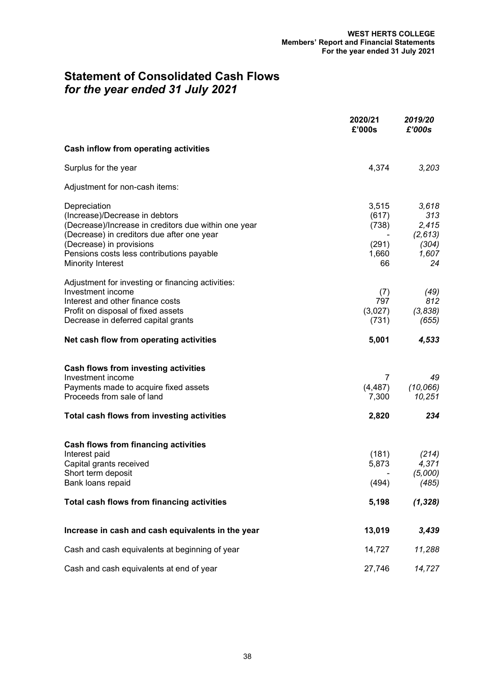# **Statement of Consolidated Cash Flows** *for the year ended 31 July 2021*

|                                                                                                                                                                                                                                                    | 2020/21<br>£'000s                               | 2019/20<br>£'000s                                        |
|----------------------------------------------------------------------------------------------------------------------------------------------------------------------------------------------------------------------------------------------------|-------------------------------------------------|----------------------------------------------------------|
| Cash inflow from operating activities                                                                                                                                                                                                              |                                                 |                                                          |
| Surplus for the year                                                                                                                                                                                                                               | 4,374                                           | 3,203                                                    |
| Adjustment for non-cash items:                                                                                                                                                                                                                     |                                                 |                                                          |
| Depreciation<br>(Increase)/Decrease in debtors<br>(Decrease)/Increase in creditors due within one year<br>(Decrease) in creditors due after one year<br>(Decrease) in provisions<br>Pensions costs less contributions payable<br>Minority Interest | 3,515<br>(617)<br>(738)<br>(291)<br>1,660<br>66 | 3,618<br>313<br>2,415<br>(2,613)<br>(304)<br>1,607<br>24 |
| Adjustment for investing or financing activities:<br>Investment income<br>Interest and other finance costs<br>Profit on disposal of fixed assets<br>Decrease in deferred capital grants                                                            | (7)<br>797<br>(3,027)<br>(731)                  | (49)<br>812<br>(3,838)<br>(655)                          |
| Net cash flow from operating activities                                                                                                                                                                                                            | 5,001                                           | 4,533                                                    |
| <b>Cash flows from investing activities</b><br>Investment income<br>Payments made to acquire fixed assets<br>Proceeds from sale of land                                                                                                            | 7<br>(4, 487)<br>7,300                          | 49<br>(10, 066)<br>10,251                                |
| Total cash flows from investing activities                                                                                                                                                                                                         | 2,820                                           | 234                                                      |
| <b>Cash flows from financing activities</b><br>Interest paid<br>Capital grants received<br>Short term deposit<br>Bank loans repaid                                                                                                                 | (181)<br>5,873<br>(494)                         | (214)<br>4,371<br>(5,000)<br>(485)                       |
| Total cash flows from financing activities                                                                                                                                                                                                         | 5,198                                           | (1, 328)                                                 |
| Increase in cash and cash equivalents in the year                                                                                                                                                                                                  | 13,019                                          | 3,439                                                    |
| Cash and cash equivalents at beginning of year                                                                                                                                                                                                     | 14,727                                          | 11,288                                                   |
| Cash and cash equivalents at end of year                                                                                                                                                                                                           | 27,746                                          | 14,727                                                   |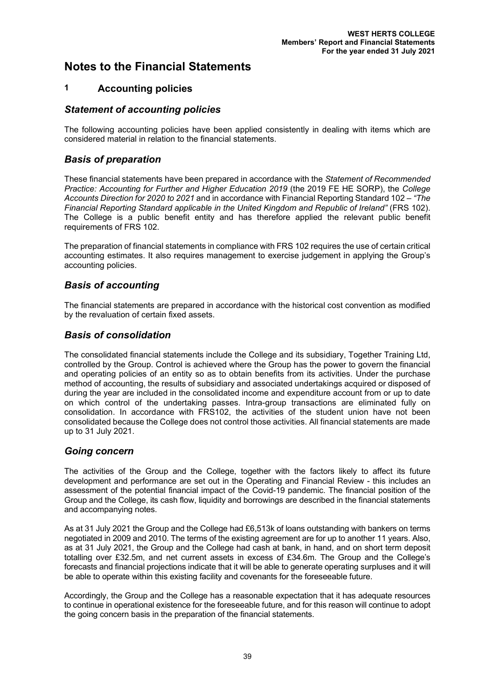## **1 Accounting policies**

### *Statement of accounting policies*

The following accounting policies have been applied consistently in dealing with items which are considered material in relation to the financial statements.

## *Basis of preparation*

These financial statements have been prepared in accordance with the *Statement of Recommended Practice: Accounting for Further and Higher Education 2019* (the 2019 FE HE SORP), the *College Accounts Direction for 2020 to 2021* and in accordance with Financial Reporting Standard 102 – *"The Financial Reporting Standard applicable in the United Kingdom and Republic of Ireland"* (FRS 102). The College is a public benefit entity and has therefore applied the relevant public benefit requirements of FRS 102.

The preparation of financial statements in compliance with FRS 102 requires the use of certain critical accounting estimates. It also requires management to exercise judgement in applying the Group's accounting policies.

# *Basis of accounting*

The financial statements are prepared in accordance with the historical cost convention as modified by the revaluation of certain fixed assets.

### *Basis of consolidation*

The consolidated financial statements include the College and its subsidiary, Together Training Ltd, controlled by the Group. Control is achieved where the Group has the power to govern the financial and operating policies of an entity so as to obtain benefits from its activities. Under the purchase method of accounting, the results of subsidiary and associated undertakings acquired or disposed of during the year are included in the consolidated income and expenditure account from or up to date on which control of the undertaking passes. Intra-group transactions are eliminated fully on consolidation. In accordance with FRS102, the activities of the student union have not been consolidated because the College does not control those activities. All financial statements are made up to 31 July 2021.

#### *Going concern*

The activities of the Group and the College, together with the factors likely to affect its future development and performance are set out in the Operating and Financial Review - this includes an assessment of the potential financial impact of the Covid-19 pandemic. The financial position of the Group and the College, its cash flow, liquidity and borrowings are described in the financial statements and accompanying notes.

As at 31 July 2021 the Group and the College had £6,513k of loans outstanding with bankers on terms negotiated in 2009 and 2010. The terms of the existing agreement are for up to another 11 years. Also, as at 31 July 2021, the Group and the College had cash at bank, in hand, and on short term deposit totalling over £32.5m, and net current assets in excess of £34.6m. The Group and the College's forecasts and financial projections indicate that it will be able to generate operating surpluses and it will be able to operate within this existing facility and covenants for the foreseeable future.

Accordingly, the Group and the College has a reasonable expectation that it has adequate resources to continue in operational existence for the foreseeable future, and for this reason will continue to adopt the going concern basis in the preparation of the financial statements.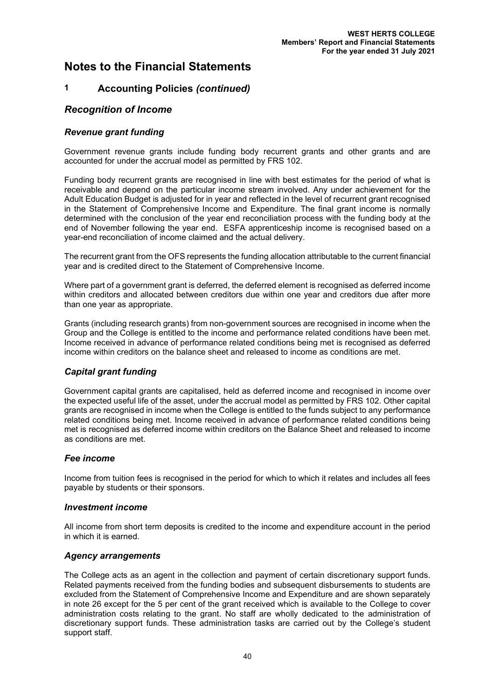# **1 Accounting Policies** *(continued)*

#### *Recognition of Income*

#### *Revenue grant funding*

Government revenue grants include funding body recurrent grants and other grants and are accounted for under the accrual model as permitted by FRS 102.

Funding body recurrent grants are recognised in line with best estimates for the period of what is receivable and depend on the particular income stream involved. Any under achievement for the Adult Education Budget is adjusted for in year and reflected in the level of recurrent grant recognised in the Statement of Comprehensive Income and Expenditure. The final grant income is normally determined with the conclusion of the year end reconciliation process with the funding body at the end of November following the year end. ESFA apprenticeship income is recognised based on a year-end reconciliation of income claimed and the actual delivery.

The recurrent grant from the OFS represents the funding allocation attributable to the current financial year and is credited direct to the Statement of Comprehensive Income.

Where part of a government grant is deferred, the deferred element is recognised as deferred income within creditors and allocated between creditors due within one year and creditors due after more than one year as appropriate.

Grants (including research grants) from non-government sources are recognised in income when the Group and the College is entitled to the income and performance related conditions have been met. Income received in advance of performance related conditions being met is recognised as deferred income within creditors on the balance sheet and released to income as conditions are met.

#### *Capital grant funding*

Government capital grants are capitalised, held as deferred income and recognised in income over the expected useful life of the asset, under the accrual model as permitted by FRS 102. Other capital grants are recognised in income when the College is entitled to the funds subject to any performance related conditions being met. Income received in advance of performance related conditions being met is recognised as deferred income within creditors on the Balance Sheet and released to income as conditions are met.

#### *Fee income*

Income from tuition fees is recognised in the period for which to which it relates and includes all fees payable by students or their sponsors.

#### *Investment income*

All income from short term deposits is credited to the income and expenditure account in the period in which it is earned.

#### *Agency arrangements*

The College acts as an agent in the collection and payment of certain discretionary support funds. Related payments received from the funding bodies and subsequent disbursements to students are excluded from the Statement of Comprehensive Income and Expenditure and are shown separately in note 26 except for the 5 per cent of the grant received which is available to the College to cover administration costs relating to the grant. No staff are wholly dedicated to the administration of discretionary support funds. These administration tasks are carried out by the College's student support staff.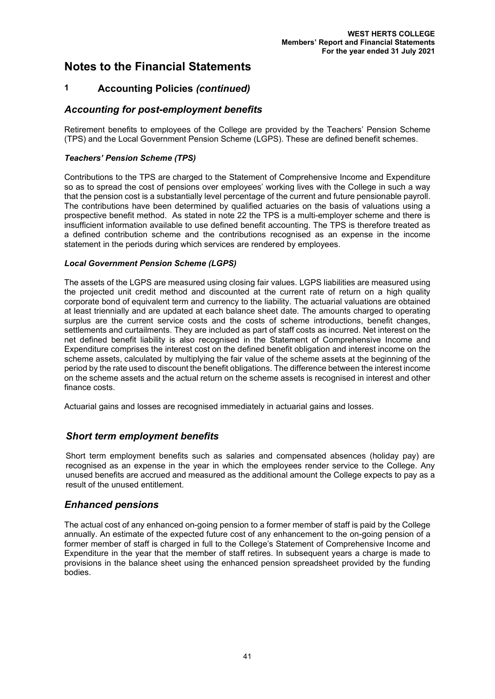# **1 Accounting Policies** *(continued)*

## *Accounting for post-employment benefits*

Retirement benefits to employees of the College are provided by the Teachers' Pension Scheme (TPS) and the Local Government Pension Scheme (LGPS). These are defined benefit schemes.

#### *Teachers' Pension Scheme (TPS)*

Contributions to the TPS are charged to the Statement of Comprehensive Income and Expenditure so as to spread the cost of pensions over employees' working lives with the College in such a way that the pension cost is a substantially level percentage of the current and future pensionable payroll. The contributions have been determined by qualified actuaries on the basis of valuations using a prospective benefit method. As stated in note 22 the TPS is a multi-employer scheme and there is insufficient information available to use defined benefit accounting. The TPS is therefore treated as a defined contribution scheme and the contributions recognised as an expense in the income statement in the periods during which services are rendered by employees.

#### *Local Government Pension Scheme (LGPS)*

The assets of the LGPS are measured using closing fair values. LGPS liabilities are measured using the projected unit credit method and discounted at the current rate of return on a high quality corporate bond of equivalent term and currency to the liability. The actuarial valuations are obtained at least triennially and are updated at each balance sheet date. The amounts charged to operating surplus are the current service costs and the costs of scheme introductions, benefit changes, settlements and curtailments. They are included as part of staff costs as incurred. Net interest on the net defined benefit liability is also recognised in the Statement of Comprehensive Income and Expenditure comprises the interest cost on the defined benefit obligation and interest income on the scheme assets, calculated by multiplying the fair value of the scheme assets at the beginning of the period by the rate used to discount the benefit obligations. The difference between the interest income on the scheme assets and the actual return on the scheme assets is recognised in interest and other finance costs.

Actuarial gains and losses are recognised immediately in actuarial gains and losses.

## *Short term employment benefits*

Short term employment benefits such as salaries and compensated absences (holiday pay) are recognised as an expense in the year in which the employees render service to the College. Any unused benefits are accrued and measured as the additional amount the College expects to pay as a result of the unused entitlement.

#### *Enhanced pensions*

The actual cost of any enhanced on-going pension to a former member of staff is paid by the College annually. An estimate of the expected future cost of any enhancement to the on-going pension of a former member of staff is charged in full to the College's Statement of Comprehensive Income and Expenditure in the year that the member of staff retires. In subsequent years a charge is made to provisions in the balance sheet using the enhanced pension spreadsheet provided by the funding bodies.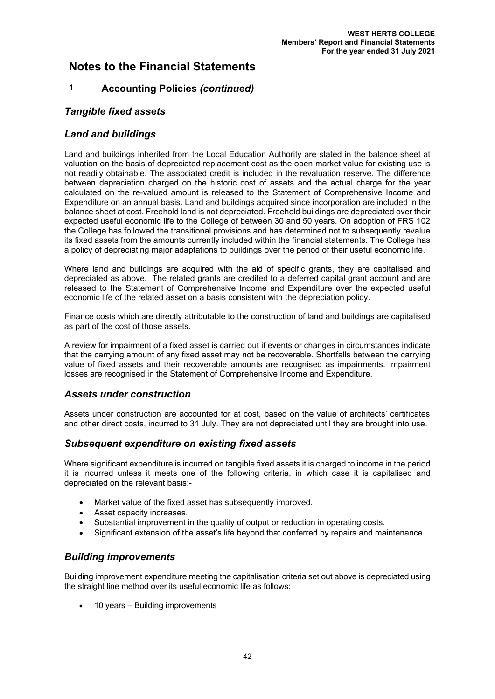# **1 Accounting Policies** *(continued)*

### *Tangible fixed assets*

### *Land and buildings*

Land and buildings inherited from the Local Education Authority are stated in the balance sheet at valuation on the basis of depreciated replacement cost as the open market value for existing use is not readily obtainable. The associated credit is included in the revaluation reserve. The difference between depreciation charged on the historic cost of assets and the actual charge for the year calculated on the re-valued amount is released to the Statement of Comprehensive Income and Expenditure on an annual basis. Land and buildings acquired since incorporation are included in the balance sheet at cost. Freehold land is not depreciated. Freehold buildings are depreciated over their expected useful economic life to the College of between 30 and 50 years. On adoption of FRS 102 the College has followed the transitional provisions and has determined not to subsequently revalue its fixed assets from the amounts currently included within the financial statements. The College has a policy of depreciating major adaptations to buildings over the period of their useful economic life.

Where land and buildings are acquired with the aid of specific grants, they are capitalised and depreciated as above. The related grants are credited to a deferred capital grant account and are released to the Statement of Comprehensive Income and Expenditure over the expected useful economic life of the related asset on a basis consistent with the depreciation policy.

Finance costs which are directly attributable to the construction of land and buildings are capitalised as part of the cost of those assets.

A review for impairment of a fixed asset is carried out if events or changes in circumstances indicate that the carrying amount of any fixed asset may not be recoverable. Shortfalls between the carrying value of fixed assets and their recoverable amounts are recognised as impairments. Impairment losses are recognised in the Statement of Comprehensive Income and Expenditure.

#### *Assets under construction*

Assets under construction are accounted for at cost, based on the value of architects' certificates and other direct costs, incurred to 31 July. They are not depreciated until they are brought into use.

## *Subsequent expenditure on existing fixed assets*

Where significant expenditure is incurred on tangible fixed assets it is charged to income in the period it is incurred unless it meets one of the following criteria, in which case it is capitalised and depreciated on the relevant basis:-

- Market value of the fixed asset has subsequently improved.
- Asset capacity increases.
- Substantial improvement in the quality of output or reduction in operating costs.
- Significant extension of the asset's life beyond that conferred by repairs and maintenance.

#### *Building improvements*

Building improvement expenditure meeting the capitalisation criteria set out above is depreciated using the straight line method over its useful economic life as follows:

• 10 years – Building improvements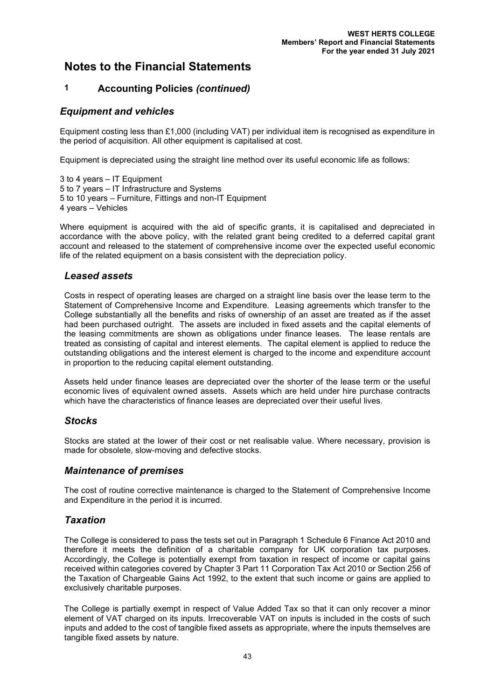# **1 Accounting Policies** *(continued)*

### *Equipment and vehicles*

Equipment costing less than £1,000 (including VAT) per individual item is recognised as expenditure in the period of acquisition. All other equipment is capitalised at cost.

Equipment is depreciated using the straight line method over its useful economic life as follows:

3 to 4 years – IT Equipment 5 to 7 years – IT Infrastructure and Systems 5 to 10 years – Furniture, Fittings and non-IT Equipment 4 years – Vehicles

Where equipment is acquired with the aid of specific grants, it is capitalised and depreciated in accordance with the above policy, with the related grant being credited to a deferred capital grant account and released to the statement of comprehensive income over the expected useful economic life of the related equipment on a basis consistent with the depreciation policy.

### *Leased assets*

Costs in respect of operating leases are charged on a straight line basis over the lease term to the Statement of Comprehensive Income and Expenditure. Leasing agreements which transfer to the College substantially all the benefits and risks of ownership of an asset are treated as if the asset had been purchased outright. The assets are included in fixed assets and the capital elements of the leasing commitments are shown as obligations under finance leases. The lease rentals are treated as consisting of capital and interest elements. The capital element is applied to reduce the outstanding obligations and the interest element is charged to the income and expenditure account in proportion to the reducing capital element outstanding.

Assets held under finance leases are depreciated over the shorter of the lease term or the useful economic lives of equivalent owned assets. Assets which are held under hire purchase contracts which have the characteristics of finance leases are depreciated over their useful lives.

#### *Stocks*

Stocks are stated at the lower of their cost or net realisable value. Where necessary, provision is made for obsolete, slow-moving and defective stocks.

#### *Maintenance of premises*

The cost of routine corrective maintenance is charged to the Statement of Comprehensive Income and Expenditure in the period it is incurred.

## *Taxation*

The College is considered to pass the tests set out in Paragraph 1 Schedule 6 Finance Act 2010 and therefore it meets the definition of a charitable company for UK corporation tax purposes. Accordingly, the College is potentially exempt from taxation in respect of income or capital gains received within categories covered by Chapter 3 Part 11 Corporation Tax Act 2010 or Section 256 of the Taxation of Chargeable Gains Act 1992, to the extent that such income or gains are applied to exclusively charitable purposes.

The College is partially exempt in respect of Value Added Tax so that it can only recover a minor element of VAT charged on its inputs. Irrecoverable VAT on inputs is included in the costs of such inputs and added to the cost of tangible fixed assets as appropriate, where the inputs themselves are tangible fixed assets by nature.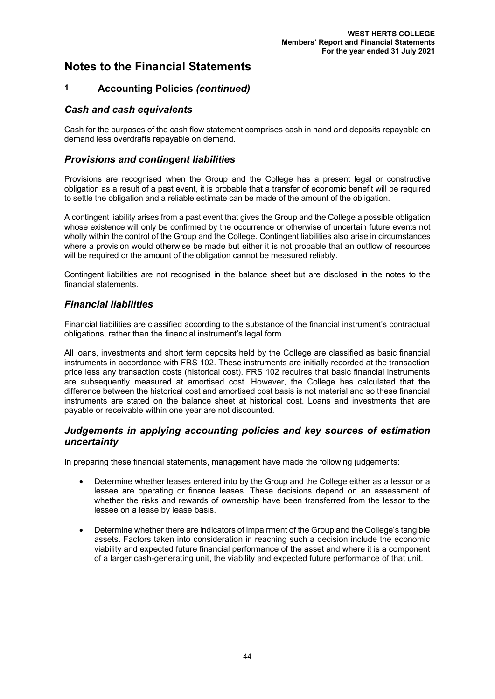# **1 Accounting Policies** *(continued)*

### *Cash and cash equivalents*

Cash for the purposes of the cash flow statement comprises cash in hand and deposits repayable on demand less overdrafts repayable on demand.

### *Provisions and contingent liabilities*

Provisions are recognised when the Group and the College has a present legal or constructive obligation as a result of a past event, it is probable that a transfer of economic benefit will be required to settle the obligation and a reliable estimate can be made of the amount of the obligation.

A contingent liability arises from a past event that gives the Group and the College a possible obligation whose existence will only be confirmed by the occurrence or otherwise of uncertain future events not wholly within the control of the Group and the College. Contingent liabilities also arise in circumstances where a provision would otherwise be made but either it is not probable that an outflow of resources will be required or the amount of the obligation cannot be measured reliably.

Contingent liabilities are not recognised in the balance sheet but are disclosed in the notes to the financial statements.

## *Financial liabilities*

Financial liabilities are classified according to the substance of the financial instrument's contractual obligations, rather than the financial instrument's legal form.

All loans, investments and short term deposits held by the College are classified as basic financial instruments in accordance with FRS 102. These instruments are initially recorded at the transaction price less any transaction costs (historical cost). FRS 102 requires that basic financial instruments are subsequently measured at amortised cost. However, the College has calculated that the difference between the historical cost and amortised cost basis is not material and so these financial instruments are stated on the balance sheet at historical cost. Loans and investments that are payable or receivable within one year are not discounted.

### *Judgements in applying accounting policies and key sources of estimation uncertainty*

In preparing these financial statements, management have made the following judgements:

- Determine whether leases entered into by the Group and the College either as a lessor or a lessee are operating or finance leases. These decisions depend on an assessment of whether the risks and rewards of ownership have been transferred from the lessor to the lessee on a lease by lease basis.
- Determine whether there are indicators of impairment of the Group and the College's tangible assets. Factors taken into consideration in reaching such a decision include the economic viability and expected future financial performance of the asset and where it is a component of a larger cash-generating unit, the viability and expected future performance of that unit.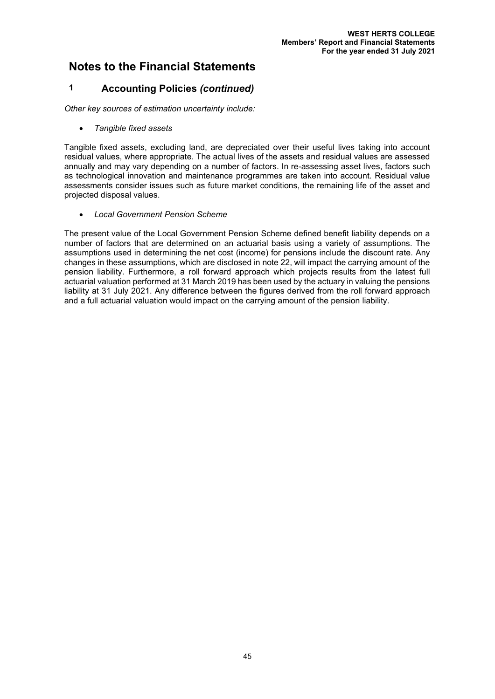## **1 Accounting Policies** *(continued)*

*Other key sources of estimation uncertainty include:*

• *Tangible fixed assets*

Tangible fixed assets, excluding land, are depreciated over their useful lives taking into account residual values, where appropriate. The actual lives of the assets and residual values are assessed annually and may vary depending on a number of factors. In re-assessing asset lives, factors such as technological innovation and maintenance programmes are taken into account. Residual value assessments consider issues such as future market conditions, the remaining life of the asset and projected disposal values.

• *Local Government Pension Scheme* 

The present value of the Local Government Pension Scheme defined benefit liability depends on a number of factors that are determined on an actuarial basis using a variety of assumptions. The assumptions used in determining the net cost (income) for pensions include the discount rate. Any changes in these assumptions, which are disclosed in note 22, will impact the carrying amount of the pension liability. Furthermore, a roll forward approach which projects results from the latest full actuarial valuation performed at 31 March 2019 has been used by the actuary in valuing the pensions liability at 31 July 2021. Any difference between the figures derived from the roll forward approach and a full actuarial valuation would impact on the carrying amount of the pension liability.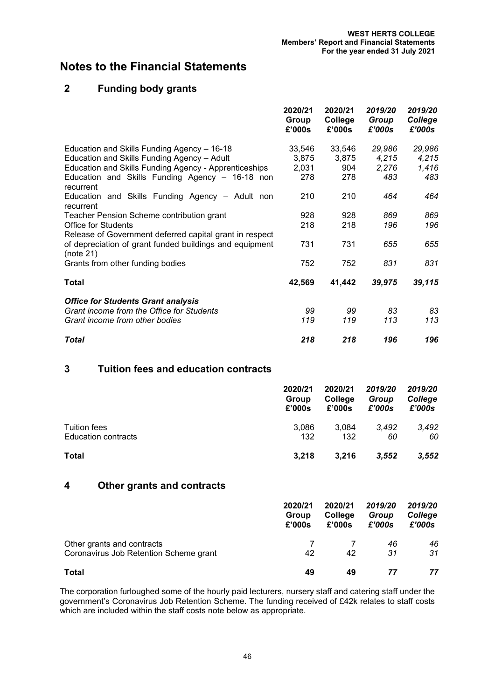# **2 Funding body grants**

|                                                                      | 2020/21<br>Group<br>£'000s | 2020/21<br>College<br>£'000s | 2019/20<br>Group<br>£'000s | 2019/20<br>College<br>£'000s |
|----------------------------------------------------------------------|----------------------------|------------------------------|----------------------------|------------------------------|
| Education and Skills Funding Agency - 16-18                          | 33,546                     | 33,546                       | 29,986                     | 29,986                       |
| Education and Skills Funding Agency - Adult                          | 3,875                      | 3,875                        | 4,215                      | 4,215                        |
| <b>Education and Skills Funding Agency - Apprenticeships</b>         | 2,031                      | 904                          | 2,276                      | 1,416                        |
| Education and Skills Funding Agency - 16-18 non<br>recurrent         | 278                        | 278                          | 483                        | 483                          |
| Education and Skills Funding Agency - Adult non<br>recurrent         | 210                        | 210                          | 464                        | 464                          |
| Teacher Pension Scheme contribution grant                            | 928                        | 928                          | 869                        | 869                          |
| Office for Students                                                  | 218                        | 218                          | 196                        | 196                          |
| Release of Government deferred capital grant in respect              |                            |                              |                            |                              |
| of depreciation of grant funded buildings and equipment<br>(note 21) | 731                        | 731                          | 655                        | 655                          |
| Grants from other funding bodies                                     | 752                        | 752                          | 831                        | 831                          |
| Total                                                                | 42,569                     | 41,442                       | 39,975                     | 39,115                       |
| <b>Office for Students Grant analysis</b>                            |                            |                              |                            |                              |
| Grant income from the Office for Students                            | 99                         | 99                           | 83                         | 83                           |
| Grant income from other bodies                                       | 119                        | 119                          | 113                        | 113                          |
| <b>Total</b>                                                         | 218                        | 218                          | 196                        | 196                          |

# **3 Tuition fees and education contracts**

|                            | 2020/21<br>Group<br>£'000s | 2020/21<br>College<br>£'000s | 2019/20<br>Group<br>£'000s | 2019/20<br>College<br>£'000s |
|----------------------------|----------------------------|------------------------------|----------------------------|------------------------------|
| Tuition fees               | 3,086                      | 3.084                        | 3.492                      | 3,492                        |
| <b>Education contracts</b> | 132                        | 132                          | 60                         | 60                           |
| <b>Total</b>               | 3,218                      | 3,216                        | 3.552                      | 3,552                        |

## **4 Other grants and contracts**

|                                        | 2020/21<br>Group<br>£'000s | 2020/21<br>College<br>£'000s | 2019/20<br>Group<br>£'000s | 2019/20<br>College<br>£'000s |
|----------------------------------------|----------------------------|------------------------------|----------------------------|------------------------------|
| Other grants and contracts             |                            |                              | 46                         | 46                           |
| Coronavirus Job Retention Scheme grant | 42                         | 42                           | 31                         | 31                           |
| Total                                  | 49                         | 49                           | 77                         | 77                           |

The corporation furloughed some of the hourly paid lecturers, nursery staff and catering staff under the government's Coronavirus Job Retention Scheme. The funding received of £42k relates to staff costs which are included within the staff costs note below as appropriate.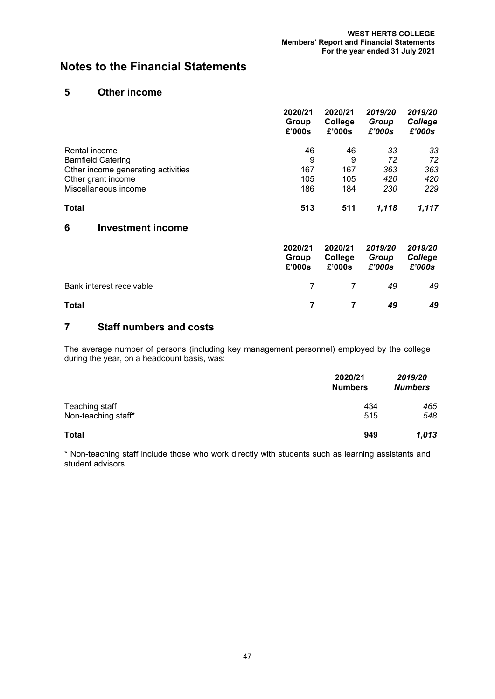### **5 Other income**

|                                    | 2020/21<br>Group<br>£'000s | 2020/21<br>College<br>£'000s | 2019/20<br>Group<br>£'000s | 2019/20<br>College<br>£'000s |
|------------------------------------|----------------------------|------------------------------|----------------------------|------------------------------|
| Rental income                      | 46                         | 46                           | 33                         | 33                           |
| <b>Barnfield Catering</b>          | 9                          | 9                            | 72                         | 72                           |
| Other income generating activities | 167                        | 167                          | 363                        | 363                          |
| Other grant income                 | 105                        | 105                          | 420                        | 420                          |
| Miscellaneous income               | 186                        | 184                          | 230                        | 229                          |
| <b>Total</b>                       | 513                        | 511                          | 1.118                      | 1.117                        |

## **6 Investment income**

|                          | 2020/21<br>Group<br>£'000s | 2020/21<br>College<br>£'000s | 2019/20<br>Group<br>£'000s | 2019/20<br>College<br>£'000s |
|--------------------------|----------------------------|------------------------------|----------------------------|------------------------------|
| Bank interest receivable |                            | 7 7                          | 49                         | 49                           |
| <b>Total</b>             |                            | <b>7</b>                     | 49                         | 49                           |

# **7 Staff numbers and costs**

The average number of persons (including key management personnel) employed by the college during the year, on a headcount basis, was:

|                     | 2020/21<br><b>Numbers</b> | 2019/20<br><b>Numbers</b> |
|---------------------|---------------------------|---------------------------|
| Teaching staff      | 434                       | 465                       |
| Non-teaching staff* | 515                       | 548                       |
| <b>Total</b>        | 949                       | 1,013                     |

\* Non-teaching staff include those who work directly with students such as learning assistants and student advisors.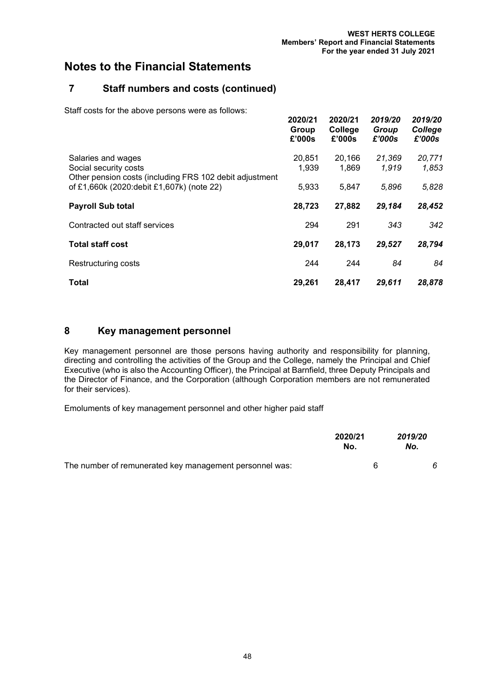**2020/21 2020/21** *2019/20 2019/20*

# **Notes to the Financial Statements**

# **7 Staff numbers and costs (continued)**

Staff costs for the above persons were as follows:

|                                                                                                        | 2020/21<br>Group<br>£'000s | ZUZUIZ'I<br>College<br>£'000s | ZU 19/ZU<br>Group<br>£'000s | ZU 19/ZU<br>College<br>£'000s |
|--------------------------------------------------------------------------------------------------------|----------------------------|-------------------------------|-----------------------------|-------------------------------|
| Salaries and wages<br>Social security costs<br>Other pension costs (including FRS 102 debit adjustment | 20,851<br>1,939            | 20,166<br>1,869               | 21,369<br>1,919             | 20,771<br>1,853               |
| of £1,660k (2020:debit £1,607k) (note 22)                                                              | 5,933                      | 5,847                         | 5,896                       | 5,828                         |
| <b>Payroll Sub total</b>                                                                               | 28,723                     | 27,882                        | 29,184                      | 28,452                        |
| Contracted out staff services                                                                          | 294                        | 291                           | 343                         | 342                           |
| <b>Total staff cost</b>                                                                                | 29,017                     | 28,173                        | 29,527                      | 28,794                        |
| Restructuring costs                                                                                    | 244                        | 244                           | 84                          | 84                            |
| <b>Total</b>                                                                                           | 29.261                     | 28,417                        | 29,611                      | 28,878                        |

## **8 Key management personnel**

Key management personnel are those persons having authority and responsibility for planning, directing and controlling the activities of the Group and the College, namely the Principal and Chief Executive (who is also the Accounting Officer), the Principal at Barnfield, three Deputy Principals and the Director of Finance, and the Corporation (although Corporation members are not remunerated for their services).

Emoluments of key management personnel and other higher paid staff

|                                                         | 2020/21<br>No. | 2019/20<br>No. |  |
|---------------------------------------------------------|----------------|----------------|--|
| The number of remunerated key management personnel was: |                |                |  |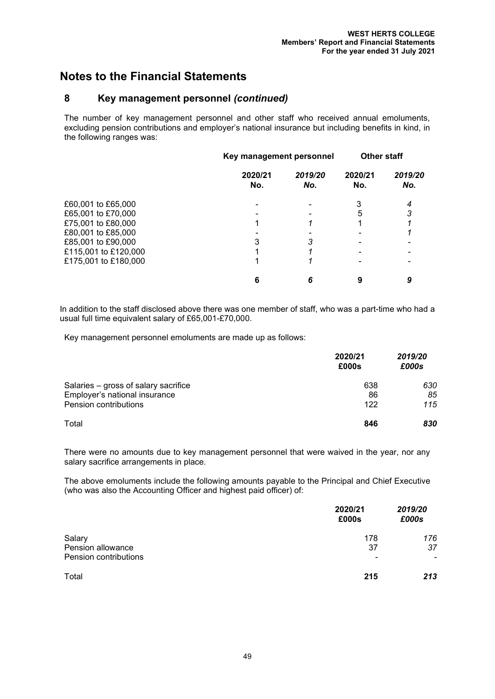## **8 Key management personnel** *(continued)*

The number of key management personnel and other staff who received annual emoluments, excluding pension contributions and employer's national insurance but including benefits in kind, in the following ranges was:

|                      | Key management personnel |                | <b>Other staff</b> |                |
|----------------------|--------------------------|----------------|--------------------|----------------|
|                      | 2020/21<br>No.           | 2019/20<br>No. | 2020/21<br>No.     | 2019/20<br>No. |
| £60,001 to £65,000   |                          |                | 3                  | 4              |
| £65,001 to £70,000   |                          |                | 5                  |                |
| £75,001 to £80,000   |                          |                |                    |                |
| £80,001 to £85,000   |                          |                |                    |                |
| £85,001 to £90,000   | 3                        |                |                    |                |
| £115,001 to £120,000 |                          |                |                    |                |
| £175,001 to £180,000 |                          |                |                    |                |
|                      | 6                        |                |                    |                |

In addition to the staff disclosed above there was one member of staff, who was a part-time who had a usual full time equivalent salary of £65,001-£70,000.

Key management personnel emoluments are made up as follows:

|                                      | 2020/21<br>£000s | 2019/20<br>£000s |
|--------------------------------------|------------------|------------------|
| Salaries - gross of salary sacrifice | 638              | 630              |
| Employer's national insurance        | 86               | 85               |
| Pension contributions                | 122              | 115              |
| Total                                | 846              | 830              |

There were no amounts due to key management personnel that were waived in the year, nor any salary sacrifice arrangements in place.

The above emoluments include the following amounts payable to the Principal and Chief Executive (who was also the Accounting Officer and highest paid officer) of:

|                                                      | 2020/21<br>£000s                      | 2019/20<br>£000s                      |
|------------------------------------------------------|---------------------------------------|---------------------------------------|
| Salary<br>Pension allowance<br>Pension contributions | 178<br>37<br>$\overline{\phantom{a}}$ | 176<br>37<br>$\overline{\phantom{a}}$ |
| Total                                                | 215                                   | 213                                   |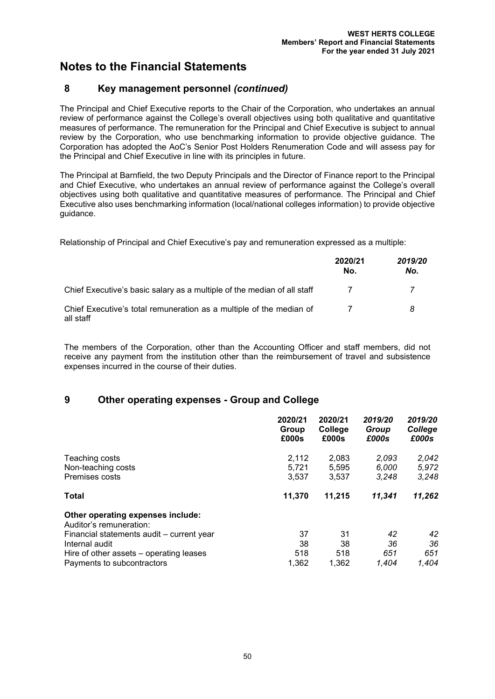## **8 Key management personnel** *(continued)*

The Principal and Chief Executive reports to the Chair of the Corporation, who undertakes an annual review of performance against the College's overall objectives using both qualitative and quantitative measures of performance. The remuneration for the Principal and Chief Executive is subject to annual review by the Corporation, who use benchmarking information to provide objective guidance. The Corporation has adopted the AoC's Senior Post Holders Renumeration Code and will assess pay for the Principal and Chief Executive in line with its principles in future.

The Principal at Barnfield, the two Deputy Principals and the Director of Finance report to the Principal and Chief Executive, who undertakes an annual review of performance against the College's overall objectives using both qualitative and quantitative measures of performance. The Principal and Chief Executive also uses benchmarking information (local/national colleges information) to provide objective guidance.

Relationship of Principal and Chief Executive's pay and remuneration expressed as a multiple:

|                                                                                  | 2020/21<br>No. | 2019/20<br>No. |
|----------------------------------------------------------------------------------|----------------|----------------|
| Chief Executive's basic salary as a multiple of the median of all staff          |                |                |
| Chief Executive's total remuneration as a multiple of the median of<br>all staff |                | 8              |

The members of the Corporation, other than the Accounting Officer and staff members, did not receive any payment from the institution other than the reimbursement of travel and subsistence expenses incurred in the course of their duties.

# **9 Other operating expenses - Group and College**

|                                                                                                                                                                                                      | 2020/21                  | 2020/21                  | 2019/20                  | 2019/20                  |
|------------------------------------------------------------------------------------------------------------------------------------------------------------------------------------------------------|--------------------------|--------------------------|--------------------------|--------------------------|
|                                                                                                                                                                                                      | Group                    | College                  | Group                    | College                  |
|                                                                                                                                                                                                      | £000s                    | £000s                    | £000s                    | £000s                    |
| Teaching costs                                                                                                                                                                                       | 2,112                    | 2,083                    | 2,093                    | 2,042                    |
| Non-teaching costs                                                                                                                                                                                   | 5,721                    | 5,595                    | 6,000                    | 5,972                    |
| Premises costs                                                                                                                                                                                       | 3,537                    | 3,537                    | 3.248                    | 3,248                    |
| <b>Total</b>                                                                                                                                                                                         | 11,370                   | 11,215                   | 11,341                   | 11,262                   |
| Other operating expenses include:<br>Auditor's remuneration:<br>Financial statements audit - current year<br>Internal audit<br>Hire of other assets – operating leases<br>Payments to subcontractors | 37<br>38<br>518<br>1,362 | 31<br>38<br>518<br>1,362 | 42<br>36<br>651<br>1.404 | 42<br>36<br>651<br>1.404 |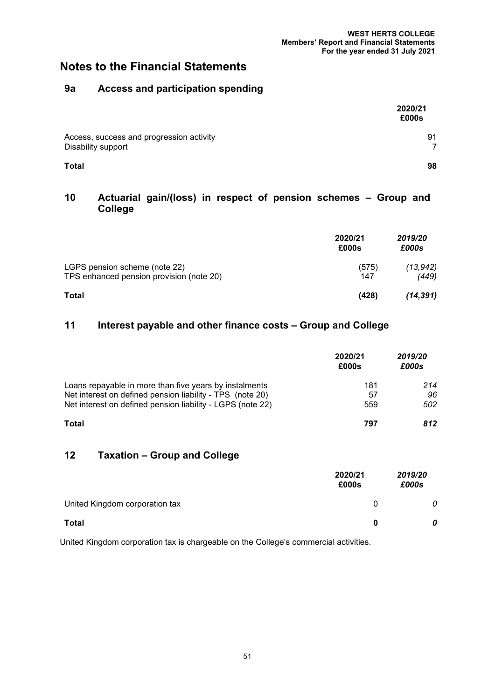# **9a Access and participation spending**

|                                                                | 2020/21<br>£000s |
|----------------------------------------------------------------|------------------|
| Access, success and progression activity<br>Disability support | 91               |
| <b>Total</b>                                                   | 98               |

## **10 Actuarial gain/(loss) in respect of pension schemes – Group and College**

|                                                                           | 2020/21<br>£000s | 2019/20<br>£000s   |
|---------------------------------------------------------------------------|------------------|--------------------|
| LGPS pension scheme (note 22)<br>TPS enhanced pension provision (note 20) | (575)<br>147     | (13, 942)<br>(449) |
| <b>Total</b>                                                              | (428)            | (14, 391)          |

# **11 Interest payable and other finance costs – Group and College**

|                                                                                                                     | 2020/21<br>£000s | 2019/20<br>£000s |
|---------------------------------------------------------------------------------------------------------------------|------------------|------------------|
| Loans repayable in more than five years by instalments<br>Net interest on defined pension liability - TPS (note 20) | 181<br>57        | 214<br>96        |
| Net interest on defined pension liability - LGPS (note 22)                                                          | 559              | 502              |
| <b>Total</b>                                                                                                        | 797              | 812              |

# **12 Taxation – Group and College**

|                                | 2020/21<br>£000s | 2019/20<br>£000s |
|--------------------------------|------------------|------------------|
| United Kingdom corporation tax | 0                | 0                |
| <b>Total</b>                   | 0                | 0                |

United Kingdom corporation tax is chargeable on the College's commercial activities.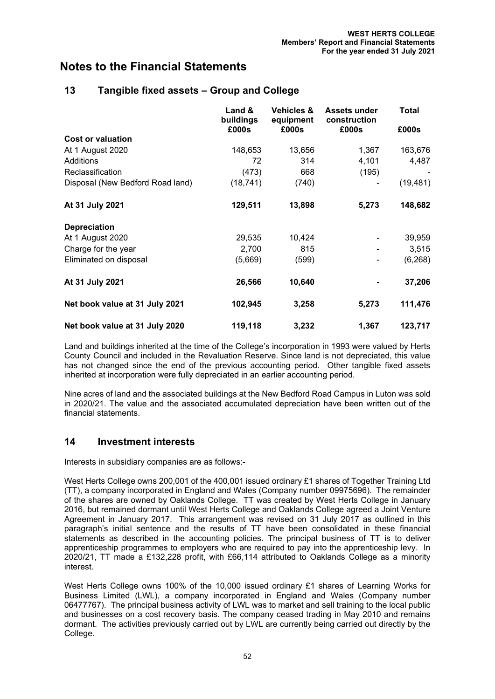|                                  | Land &<br>buildings<br>£000s | <b>Vehicles &amp;</b><br>equipment<br>£000s | <b>Assets under</b><br>construction<br>£000s | <b>Total</b><br>£000s |
|----------------------------------|------------------------------|---------------------------------------------|----------------------------------------------|-----------------------|
| <b>Cost or valuation</b>         |                              |                                             |                                              |                       |
| At 1 August 2020                 | 148,653                      | 13,656                                      | 1,367                                        | 163,676               |
| Additions                        | 72                           | 314                                         | 4,101                                        | 4,487                 |
| Reclassification                 | (473)                        | 668                                         | (195)                                        |                       |
| Disposal (New Bedford Road land) | (18, 741)                    | (740)                                       |                                              | (19, 481)             |
| At 31 July 2021                  | 129,511                      | 13,898                                      | 5,273                                        | 148,682               |
| <b>Depreciation</b>              |                              |                                             |                                              |                       |
| At 1 August 2020                 | 29,535                       | 10,424                                      |                                              | 39,959                |
| Charge for the year              | 2,700                        | 815                                         |                                              | 3,515                 |
| Eliminated on disposal           | (5,669)                      | (599)                                       |                                              | (6, 268)              |
| At 31 July 2021                  | 26,566                       | 10,640                                      |                                              | 37,206                |
| Net book value at 31 July 2021   | 102,945                      | 3,258                                       | 5,273                                        | 111,476               |
| Net book value at 31 July 2020   | 119,118                      | 3,232                                       | 1,367                                        | 123,717               |

## **13 Tangible fixed assets – Group and College**

Land and buildings inherited at the time of the College's incorporation in 1993 were valued by Herts County Council and included in the Revaluation Reserve. Since land is not depreciated, this value has not changed since the end of the previous accounting period. Other tangible fixed assets inherited at incorporation were fully depreciated in an earlier accounting period.

Nine acres of land and the associated buildings at the New Bedford Road Campus in Luton was sold in 2020/21. The value and the associated accumulated depreciation have been written out of the financial statements.

#### **14 Investment interests**

Interests in subsidiary companies are as follows:-

West Herts College owns 200,001 of the 400,001 issued ordinary £1 shares of Together Training Ltd (TT), a company incorporated in England and Wales (Company number 09975696). The remainder of the shares are owned by Oaklands College. TT was created by West Herts College in January 2016, but remained dormant until West Herts College and Oaklands College agreed a Joint Venture Agreement in January 2017. This arrangement was revised on 31 July 2017 as outlined in this paragraph's initial sentence and the results of TT have been consolidated in these financial statements as described in the accounting policies. The principal business of TT is to deliver apprenticeship programmes to employers who are required to pay into the apprenticeship levy. In 2020/21, TT made a £132,228 profit, with £66,114 attributed to Oaklands College as a minority interest.

West Herts College owns 100% of the 10,000 issued ordinary £1 shares of Learning Works for Business Limited (LWL), a company incorporated in England and Wales (Company number 06477767). The principal business activity of LWL was to market and sell training to the local public and businesses on a cost recovery basis. The company ceased trading in May 2010 and remains dormant. The activities previously carried out by LWL are currently being carried out directly by the College.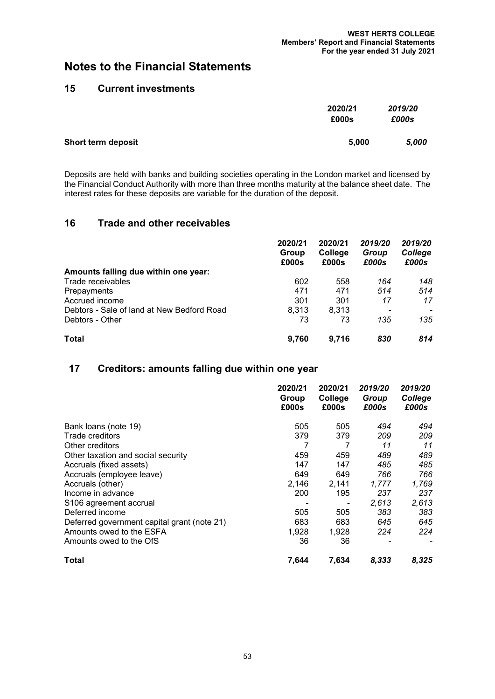## **15 Current investments**

|                    | 2020/21<br>£000s | 2019/20<br>£000s |
|--------------------|------------------|------------------|
| Short term deposit | 5,000            | 5.000            |

Deposits are held with banks and building societies operating in the London market and licensed by the Financial Conduct Authority with more than three months maturity at the balance sheet date. The interest rates for these deposits are variable for the duration of the deposit.

#### **16 Trade and other receivables**

|                                            | 2020/21<br>Group<br>£000s | 2020/21<br>College<br>£000s | 2019/20<br>Group<br>£000s | 2019/20<br>College<br>£000s |
|--------------------------------------------|---------------------------|-----------------------------|---------------------------|-----------------------------|
| Amounts falling due within one year:       |                           |                             |                           |                             |
| Trade receivables                          | 602                       | 558                         | 164                       | 148                         |
| Prepayments                                | 471                       | 471                         | 514                       | 514                         |
| Accrued income                             | 301                       | 301                         | 17                        | 17                          |
| Debtors - Sale of land at New Bedford Road | 8.313                     | 8.313                       |                           |                             |
| Debtors - Other                            | 73                        | 73                          | 135                       | 135                         |
| <b>Total</b>                               | 9.760                     | 9.716                       | 830                       | 814                         |

#### **17 Creditors: amounts falling due within one year**

|                                             | 2020/21<br>Group<br>£000s | 2020/21<br>College<br>£000s | 2019/20<br>Group<br>£000s | 2019/20<br>College<br>£000s |
|---------------------------------------------|---------------------------|-----------------------------|---------------------------|-----------------------------|
| Bank loans (note 19)                        | 505                       | 505                         | 494                       | 494                         |
| Trade creditors                             | 379                       | 379                         | 209                       | 209                         |
| Other creditors                             |                           |                             | 11                        | 11                          |
| Other taxation and social security          | 459                       | 459                         | 489                       | 489                         |
| Accruals (fixed assets)                     | 147                       | 147                         | 485                       | 485                         |
| Accruals (employee leave)                   | 649                       | 649                         | 766                       | 766                         |
| Accruals (other)                            | 2,146                     | 2,141                       | 1,777                     | 1,769                       |
| Income in advance                           | 200                       | 195                         | 237                       | 237                         |
| S <sub>106</sub> agreement accrual          |                           | ٠                           | 2,613                     | 2,613                       |
| Deferred income                             | 505                       | 505                         | 383                       | 383.                        |
| Deferred government capital grant (note 21) | 683                       | 683                         | 645                       | 645                         |
| Amounts owed to the ESFA                    | 1,928                     | 1,928                       | 224                       | 224                         |
| Amounts owed to the OfS                     | 36                        | 36                          |                           |                             |
| Total                                       | 7,644                     | 7,634                       | 8,333                     | 8,325                       |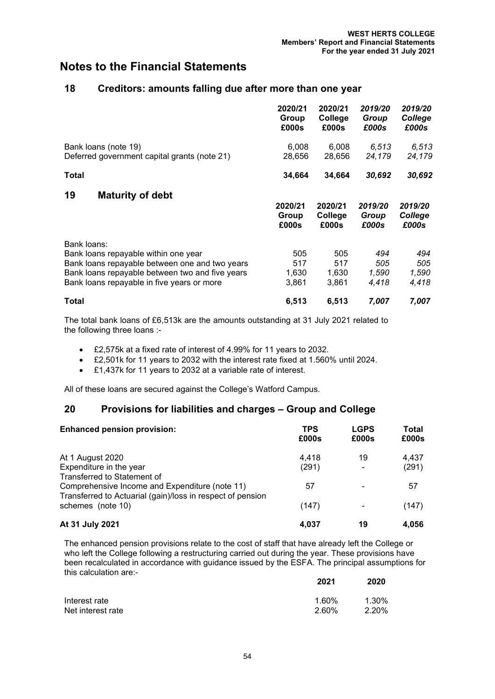#### **18 Creditors: amounts falling due after more than one year**

|                                                                                                                                                                                                        | 2020/21<br>Group<br>£000s    | 2020/21<br>College<br>£000s  | 2019/20<br>Group<br>£000s    | 2019/20<br>College<br>£000s  |
|--------------------------------------------------------------------------------------------------------------------------------------------------------------------------------------------------------|------------------------------|------------------------------|------------------------------|------------------------------|
| Bank loans (note 19)<br>Deferred government capital grants (note 21)                                                                                                                                   | 6,008<br>28,656              | 6,008<br>28,656              | 6,513<br>24,179              | 6,513<br>24,179              |
| Total                                                                                                                                                                                                  | 34,664                       | 34,664                       | 30,692                       | 30,692                       |
| 19<br><b>Maturity of debt</b>                                                                                                                                                                          | 2020/21<br>Group<br>£000s    | 2020/21<br>College<br>£000s  | 2019/20<br>Group<br>£000s    | 2019/20<br>College<br>£000s  |
| Bank loans:<br>Bank loans repayable within one year<br>Bank loans repayable between one and two years<br>Bank loans repayable between two and five years<br>Bank loans repayable in five years or more | 505<br>517<br>1,630<br>3,861 | 505<br>517<br>1,630<br>3,861 | 494<br>505<br>1,590<br>4,418 | 494<br>505<br>1,590<br>4,418 |
| Total                                                                                                                                                                                                  | 6,513                        | 6,513                        | 7,007                        | 7,007                        |

The total bank loans of £6,513k are the amounts outstanding at 31 July 2021 related to the following three loans :-

- £2,575k at a fixed rate of interest of 4.99% for 11 years to 2032.
- £2,501k for 11 years to 2032 with the interest rate fixed at 1.560% until 2024.
- £1,437k for 11 years to 2032 at a variable rate of interest.

All of these loans are secured against the College's Watford Campus.

#### **20 Provisions for liabilities and charges – Group and College**

| <b>Enhanced pension provision:</b>                         | TPS<br>£000s | <b>LGPS</b><br>£000s | Total<br>£000s |
|------------------------------------------------------------|--------------|----------------------|----------------|
| At 1 August 2020                                           | 4.418        | 19                   | 4.437          |
| Expenditure in the year                                    | (291)        |                      | (291)          |
| Transferred to Statement of                                |              |                      |                |
| Comprehensive Income and Expenditure (note 11)             | 57           |                      | 57             |
| Transferred to Actuarial (gain)/loss in respect of pension |              |                      |                |
| schemes (note 10)                                          | (147)        |                      | (147)          |
| At 31 July 2021                                            | 4.037        | 19                   | 4.056          |

The enhanced pension provisions relate to the cost of staff that have already left the College or who left the College following a restructuring carried out during the year. These provisions have been recalculated in accordance with guidance issued by the ESFA. The principal assumptions for this calculation are:-

|                   | 2021  | 2020  |
|-------------------|-------|-------|
| Interest rate     | 1.60% | 1.30% |
| Net interest rate | 2.60% | 2.20% |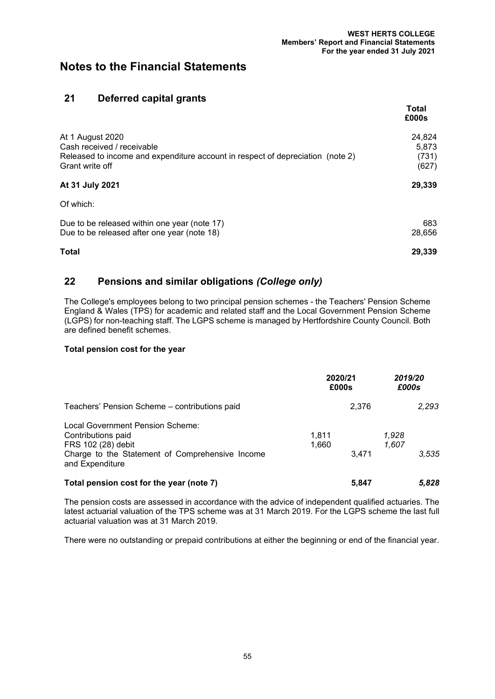## **21 Deferred capital grants**

|                                                                                                                                                     | Total<br>£000s                    |
|-----------------------------------------------------------------------------------------------------------------------------------------------------|-----------------------------------|
| At 1 August 2020<br>Cash received / receivable<br>Released to income and expenditure account in respect of depreciation (note 2)<br>Grant write off | 24,824<br>5.873<br>(731)<br>(627) |
| At 31 July 2021                                                                                                                                     | 29,339                            |
| Of which:                                                                                                                                           |                                   |
| Due to be released within one year (note 17)<br>Due to be released after one year (note 18)                                                         | 683<br>28,656                     |
| Total                                                                                                                                               | 29,339                            |

# **22 Pensions and similar obligations** *(College only)*

The College's employees belong to two principal pension schemes - the Teachers' Pension Scheme England & Wales (TPS) for academic and related staff and the Local Government Pension Scheme (LGPS) for non-teaching staff. The LGPS scheme is managed by Hertfordshire County Council. Both are defined benefit schemes.

#### **Total pension cost for the year**

|                                                                                                                                                    | 2020/21<br>£000s |                         | 2019/20<br>£000s |
|----------------------------------------------------------------------------------------------------------------------------------------------------|------------------|-------------------------|------------------|
| Teachers' Pension Scheme - contributions paid                                                                                                      |                  | 2,376                   | 2,293            |
| Local Government Pension Scheme:<br>Contributions paid<br>FRS 102 (28) debit<br>Charge to the Statement of Comprehensive Income<br>and Expenditure | 1.811<br>1,660   | 1,928<br>1,607<br>3.471 | 3.535            |
| Total pension cost for the year (note 7)                                                                                                           |                  | 5,847                   | 5,828            |

The pension costs are assessed in accordance with the advice of independent qualified actuaries. The latest actuarial valuation of the TPS scheme was at 31 March 2019. For the LGPS scheme the last full actuarial valuation was at 31 March 2019.

There were no outstanding or prepaid contributions at either the beginning or end of the financial year.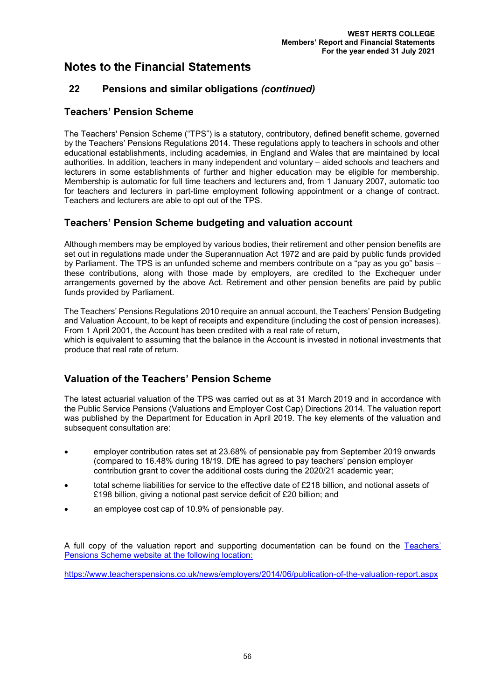# **22 Pensions and similar obligations** *(continued)*

## **Teachers' Pension Scheme**

The Teachers' Pension Scheme ("TPS") is a statutory, contributory, defined benefit scheme, governed by the Teachers' Pensions Regulations 2014. These regulations apply to teachers in schools and other educational establishments, including academies, in England and Wales that are maintained by local authorities. In addition, teachers in many independent and voluntary – aided schools and teachers and lecturers in some establishments of further and higher education may be eligible for membership. Membership is automatic for full time teachers and lecturers and, from 1 January 2007, automatic too for teachers and lecturers in part-time employment following appointment or a change of contract. Teachers and lecturers are able to opt out of the TPS.

# **Teachers' Pension Scheme budgeting and valuation account**

Although members may be employed by various bodies, their retirement and other pension benefits are set out in regulations made under the Superannuation Act 1972 and are paid by public funds provided by Parliament. The TPS is an unfunded scheme and members contribute on a "pay as you go" basis – these contributions, along with those made by employers, are credited to the Exchequer under arrangements governed by the above Act. Retirement and other pension benefits are paid by public funds provided by Parliament.

The Teachers' Pensions Regulations 2010 require an annual account, the Teachers' Pension Budgeting and Valuation Account, to be kept of receipts and expenditure (including the cost of pension increases). From 1 April 2001, the Account has been credited with a real rate of return,

which is equivalent to assuming that the balance in the Account is invested in notional investments that produce that real rate of return.

# **Valuation of the Teachers' Pension Scheme**

The latest actuarial valuation of the TPS was carried out as at 31 March 2019 and in accordance with the Public Service Pensions (Valuations and Employer Cost Cap) Directions 2014. The valuation report was published by the Department for Education in April 2019. The key elements of the valuation and subsequent consultation are:

- employer contribution rates set at 23.68% of pensionable pay from September 2019 onwards (compared to 16.48% during 18/19. DfE has agreed to pay teachers' pension employer contribution grant to cover the additional costs during the 2020/21 academic year;
- total scheme liabilities for service to the effective date of £218 billion, and notional assets of £198 billion, giving a notional past service deficit of £20 billion; and
- an employee cost cap of 10.9% of pensionable pay.

A full copy of the valuation report and supporting documentation can be found on the [Teachers'](https://www.teacherspensions.co.uk/news/employers/2014/06/publication-of-the-valuation-report.aspx)  [Pensions Scheme website](https://www.teacherspensions.co.uk/news/employers/2014/06/publication-of-the-valuation-report.aspx) at the following location:

https://www.teacherspensions.co.uk/news/employers/2014/06/publication-of-the-valuation-report.aspx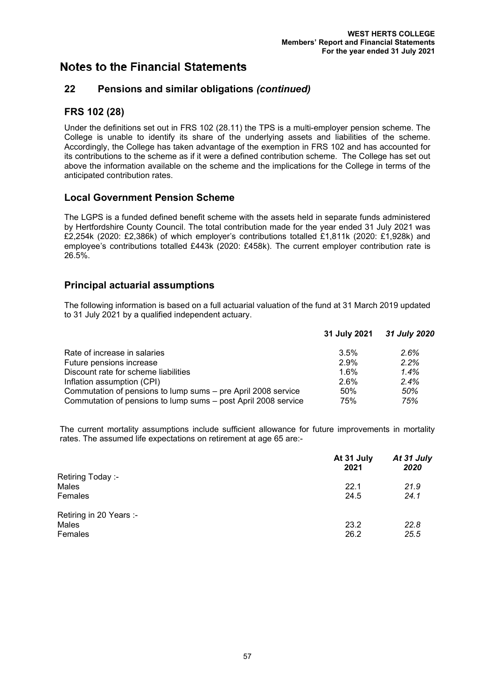## **22 Pensions and similar obligations** *(continued)*

# **FRS 102 (28)**

Under the definitions set out in FRS 102 (28.11) the TPS is a multi-employer pension scheme. The College is unable to identify its share of the underlying assets and liabilities of the scheme. Accordingly, the College has taken advantage of the exemption in FRS 102 and has accounted for its contributions to the scheme as if it were a defined contribution scheme. The College has set out above the information available on the scheme and the implications for the College in terms of the anticipated contribution rates.

### **Local Government Pension Scheme**

The LGPS is a funded defined benefit scheme with the assets held in separate funds administered by Hertfordshire County Council. The total contribution made for the year ended 31 July 2021 was £2,254k (2020: £2,386k) of which employer's contributions totalled £1,811k (2020: £1,928k) and employee's contributions totalled £443k (2020: £458k). The current employer contribution rate is 26.5%.

### **Principal actuarial assumptions**

The following information is based on a full actuarial valuation of the fund at 31 March 2019 updated to 31 July 2021 by a qualified independent actuary.

|                                                                | 31 July 2021 | 31 July 2020 |
|----------------------------------------------------------------|--------------|--------------|
| Rate of increase in salaries                                   | 3.5%         | 2.6%         |
| Future pensions increase                                       | 2.9%         | 2.2%         |
| Discount rate for scheme liabilities                           | 1.6%         | 1.4%         |
| Inflation assumption (CPI)                                     | 2.6%         | 2.4%         |
| Commutation of pensions to lump sums – pre April 2008 service  | 50%          | 50%          |
| Commutation of pensions to lump sums - post April 2008 service | 75%          | 75%          |

The current mortality assumptions include sufficient allowance for future improvements in mortality rates. The assumed life expectations on retirement at age 65 are:-

|                         | At 31 July<br>2021 | At 31 July<br>2020 |
|-------------------------|--------------------|--------------------|
| Retiring Today :-       |                    |                    |
| Males                   | 22.1               | 21.9               |
| Females                 | 24.5               | 24.1               |
| Retiring in 20 Years :- |                    |                    |
| Males                   | 23.2               | 22.8               |
| Females                 | 26.2               | 25.5               |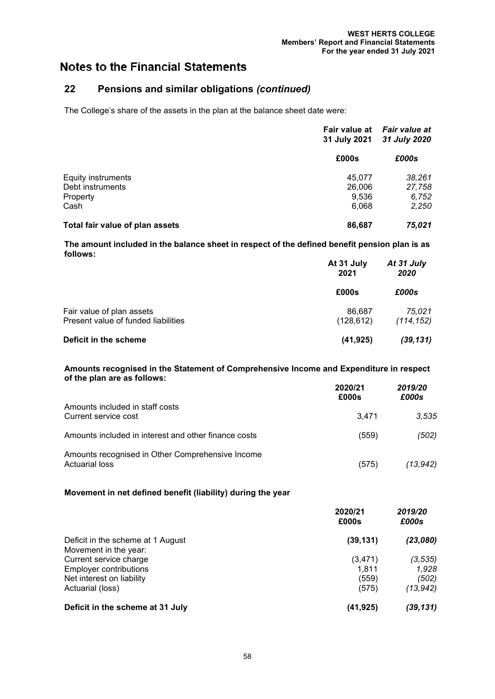# **22 Pensions and similar obligations** *(continued)*

The College's share of the assets in the plan at the balance sheet date were:

|                                 | Fair value at<br>31 July 2021 | <b>Fair value at</b><br>31 July 2020<br>£000s |
|---------------------------------|-------------------------------|-----------------------------------------------|
|                                 | £000s                         |                                               |
| <b>Equity instruments</b>       | 45.077                        | 38,261                                        |
| Debt instruments                | 26,006                        | 27,758                                        |
| Property                        | 9.536                         | 6,752                                         |
| Cash                            | 6,068                         | 2,250                                         |
| Total fair value of plan assets | 86,687                        | 75.021                                        |

**The amount included in the balance sheet in respect of the defined benefit pension plan is as follows:**

|                                                                  | At 31 July<br>2021<br>£000s | At 31 July<br>2020<br>£000s |
|------------------------------------------------------------------|-----------------------------|-----------------------------|
|                                                                  |                             |                             |
| Fair value of plan assets<br>Present value of funded liabilities | 86.687<br>(128, 612)        | 75,021<br>(114, 152)        |
| Deficit in the scheme                                            | (41, 925)                   | (39, 131)                   |

#### **Amounts recognised in the Statement of Comprehensive Income and Expenditure in respect of the plan are as follows:**

|                                                                           | 2020/21<br>£000s | 2019/20<br>£000s |
|---------------------------------------------------------------------------|------------------|------------------|
| Amounts included in staff costs<br>Current service cost                   | 3.471            | 3,535            |
| Amounts included in interest and other finance costs                      | (559)            | (502)            |
| Amounts recognised in Other Comprehensive Income<br><b>Actuarial loss</b> | (575)            | (13, 942)        |

#### **Movement in net defined benefit (liability) during the year**

|                                                 | 2020/21<br>£000s | 2019/20<br>£000s |
|-------------------------------------------------|------------------|------------------|
| Deficit in the scheme at 1 August               | (39, 131)        | (23,080)         |
| Movement in the year:<br>Current service charge | (3, 471)         | (3, 535)         |
|                                                 |                  |                  |
| Net interest on liability                       | (559)            | (502)            |
| Actuarial (loss)                                | (575)            | (13,942)         |
| Deficit in the scheme at 31 July                | (41,925)         | (39,131)         |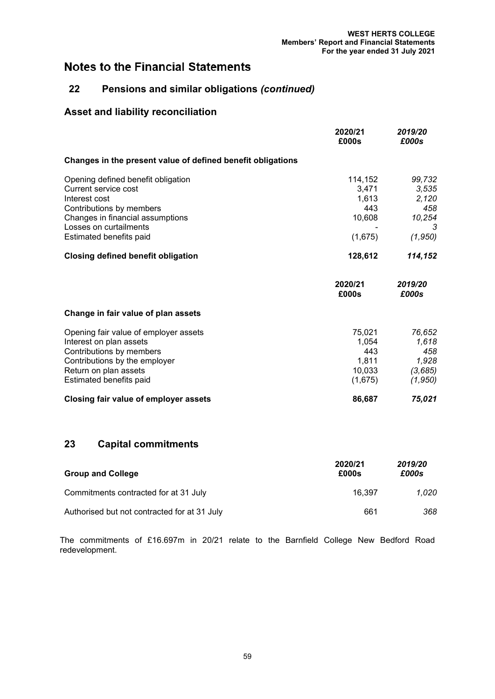# **22 Pensions and similar obligations** *(continued)*

# **Asset and liability reconciliation**

|                                                             | 2020/21<br>£000s | 2019/20<br>£000s |
|-------------------------------------------------------------|------------------|------------------|
| Changes in the present value of defined benefit obligations |                  |                  |
| Opening defined benefit obligation                          | 114,152          | 99,732           |
| Current service cost                                        | 3,471            | 3,535            |
| Interest cost                                               | 1,613            | 2,120            |
| Contributions by members                                    | 443              | 458              |
| Changes in financial assumptions                            | 10,608           | 10,254           |
| Losses on curtailments                                      |                  | 3                |
| Estimated benefits paid                                     | (1,675)          | (1, 950)         |
| <b>Closing defined benefit obligation</b>                   | 128,612          | 114,152          |
|                                                             | 2020/21<br>£000s | 2019/20<br>£000s |
| Change in fair value of plan assets                         |                  |                  |
| Opening fair value of employer assets                       | 75,021           | 76,652           |
| Interest on plan assets                                     | 1,054            | 1,618            |
| Contributions by members                                    | 443              | 458              |
| Contributions by the employer                               | 1,811            | 1,928            |
| Return on plan assets                                       | 10,033           | (3,685)          |
| Estimated benefits paid                                     | (1,675)          | (1,950)          |
| Closing fair value of employer assets                       | 86,687           | 75,021           |

# **23 Capital commitments**

| <b>Group and College</b>                     | 2020/21<br>£000s | 2019/20<br>£000s |
|----------------------------------------------|------------------|------------------|
| Commitments contracted for at 31 July        | 16.397           | 1.020            |
| Authorised but not contracted for at 31 July | 661              | 368              |

The commitments of £16.697m in 20/21 relate to the Barnfield College New Bedford Road redevelopment.